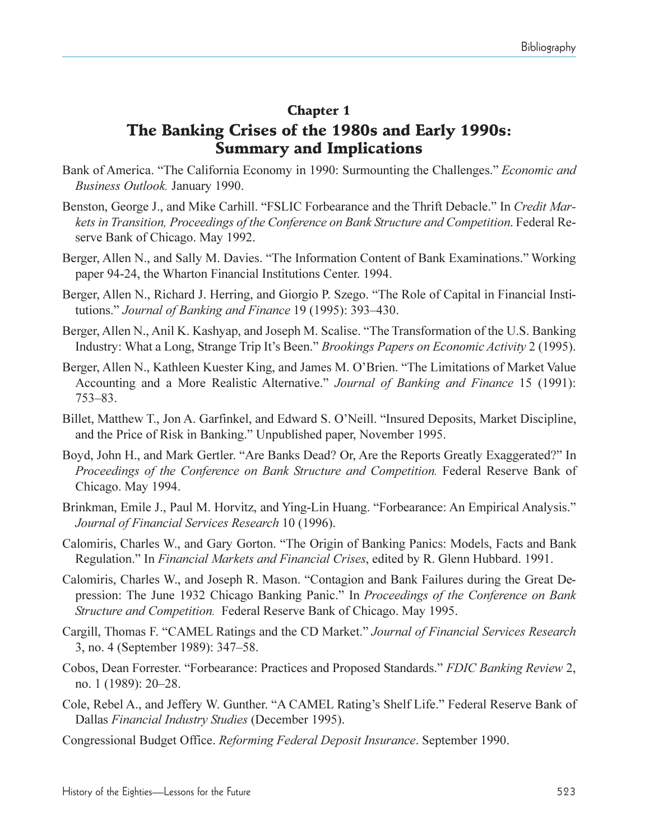### Chapter 1 The Banking Crises of the 1980s and Early 1990s: Summary and Implications

- Bank of America. "The California Economy in 1990: Surmounting the Challenges." *Economic and Business Outlook.* January 1990.
- Benston, George J., and Mike Carhill. "FSLIC Forbearance and the Thrift Debacle." In *Credit Markets in Transition, Proceedings of the Conference on Bank Structure and Competition*. Federal Reserve Bank of Chicago. May 1992.
- Berger, Allen N., and Sally M. Davies. "The Information Content of Bank Examinations." Working paper 94-24, the Wharton Financial Institutions Center. 1994.
- Berger, Allen N., Richard J. Herring, and Giorgio P. Szego. "The Role of Capital in Financial Institutions." *Journal of Banking and Finance* 19 (1995): 393–430.
- Berger, Allen N., Anil K. Kashyap, and Joseph M. Scalise. "The Transformation of the U.S. Banking Industry: What a Long, Strange Trip It's Been." *Brookings Papers on Economic Activity* 2 (1995).
- Berger, Allen N., Kathleen Kuester King, and James M. O'Brien. "The Limitations of Market Value Accounting and a More Realistic Alternative. *Journal of Banking and Finance* 15 (1991): 753-83.
- Billet, Matthew T., Jon A. Garfinkel, and Edward S. O'Neill. "Insured Deposits, Market Discipline, and the Price of Risk in Banking." Unpublished paper, November 1995.
- Boyd, John H., and Mark Gertler. "Are Banks Dead? Or, Are the Reports Greatly Exaggerated?" In *Proceedings of the Conference on Bank Structure and Competition.* Federal Reserve Bank of Chicago. May 1994.
- Brinkman, Emile J., Paul M. Horvitz, and Ying-Lin Huang. "Forbearance: An Empirical Analysis." *Journal of Financial Services Research* 10 (1996).
- Calomiris, Charles W., and Gary Gorton. The Origin of Banking Panics: Models, Facts and Bank Regulation." In *Financial Markets and Financial Crises*, edited by R. Glenn Hubbard. 1991.
- Calomiris, Charles W., and Joseph R. Mason. "Contagion and Bank Failures during the Great Depression: The June 1932 Chicago Banking Panic. In *Proceedings of the Conference on Bank Structure and Competition.* Federal Reserve Bank of Chicago. May 1995.
- Cargill, Thomas F. CAMEL Ratings and the CD Market. *Journal of Financial Services Research* 3, no. 4 (September 1989): 347–58.
- Cobos, Dean Forrester. Forbearance: Practices and Proposed Standards. *FDIC Banking Review* 2, no. 1 (1989): 20–28.
- Cole, Rebel A., and Jeffery W. Gunther. "A CAMEL Rating's Shelf Life." Federal Reserve Bank of Dallas *Financial Industry Studies* (December 1995).
- Congressional Budget Office. *Reforming Federal Deposit Insurance*. September 1990.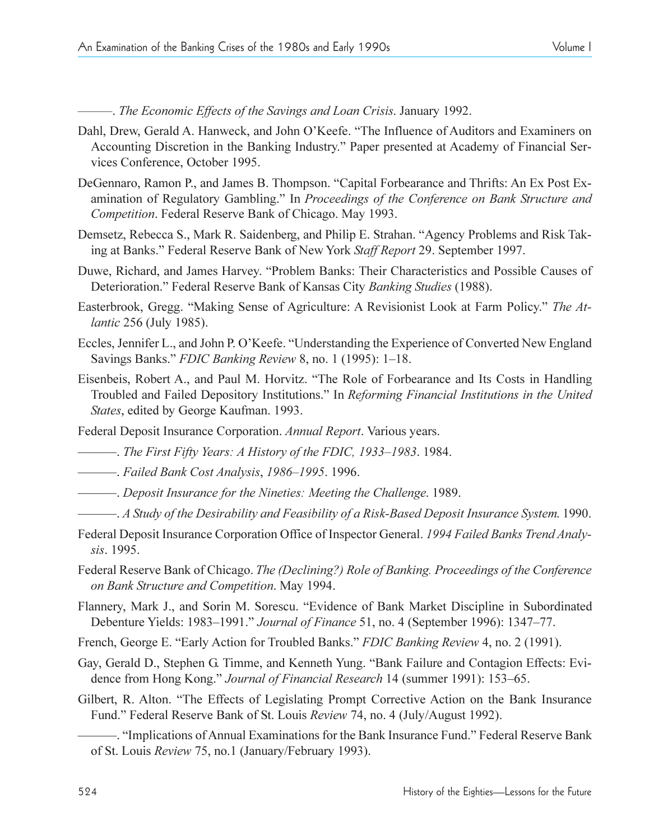. *The Economic Effects of the Savings and Loan Crisis*. January 1992.

- Dahl, Drew, Gerald A. Hanweck, and John O'Keefe. "The Influence of Auditors and Examiners on Accounting Discretion in the Banking Industry. Paper presented at Academy of Financial Services Conference, October 1995.
- DeGennaro, Ramon P., and James B. Thompson. "Capital Forbearance and Thrifts: An Ex Post Examination of Regulatory Gambling." In *Proceedings of the Conference on Bank Structure and Competition*. Federal Reserve Bank of Chicago. May 1993.
- Demsetz, Rebecca S., Mark R. Saidenberg, and Philip E. Strahan. "Agency Problems and Risk Taking at Banks. Federal Reserve Bank of New York *Staff Report* 29. September 1997.
- Duwe, Richard, and James Harvey. "Problem Banks: Their Characteristics and Possible Causes of Deterioration." Federal Reserve Bank of Kansas City *Banking Studies* (1988).
- Easterbrook, Gregg. "Making Sense of Agriculture: A Revisionist Look at Farm Policy." The At*lantic* 256 (July 1985).
- Eccles, Jennifer L., and John P. O'Keefe. "Understanding the Experience of Converted New England Savings Banks." *FDIC Banking Review 8*, no. 1 (1995): 1–18.
- Eisenbeis, Robert A., and Paul M. Horvitz. "The Role of Forbearance and Its Costs in Handling Troubled and Failed Depository Institutions. In *Reforming Financial Institutions in the United States*, edited by George Kaufman. 1993.
- Federal Deposit Insurance Corporation. *Annual Report*. Various years.
- *The First Fifty Years: A History of the FDIC, 1933–1983.* 1984.
- **. Failed Bank Cost Analysis, 1986–1995. 1996.**
- . *Deposit Insurance for the Nineties: Meeting the Challenge*. 1989.
- . *A Study of the Desirability and Feasibility of a Risk-Based Deposit Insurance System*. 1990.
- Federal Deposit Insurance Corporation Office of Inspector General. *1994 Failed Banks Trend Analysis*. 1995.
- Federal Reserve Bank of Chicago. *The (Declining?) Role of Banking. Proceedings of the Conference on Bank Structure and Competition*. May 1994.
- Flannery, Mark J., and Sorin M. Sorescu. "Evidence of Bank Market Discipline in Subordinated Debenture Yields: 1983–1991." *Journal of Finance* 51, no. 4 (September 1996): 1347–77.
- French, George E. "Early Action for Troubled Banks." *FDIC Banking Review* 4, no. 2 (1991).
- Gay, Gerald D., Stephen G. Timme, and Kenneth Yung. "Bank Failure and Contagion Effects: Evidence from Hong Kong." *Journal of Financial Research* 14 (summer 1991): 153–65.
- Gilbert, R. Alton. "The Effects of Legislating Prompt Corrective Action on the Bank Insurance Fund. Federal Reserve Bank of St. Louis *Review* 74, no. 4 (July/August 1992).
	- "Implications of Annual Examinations for the Bank Insurance Fund." Federal Reserve Bank of St. Louis *Review* 75, no.1 (January/February 1993).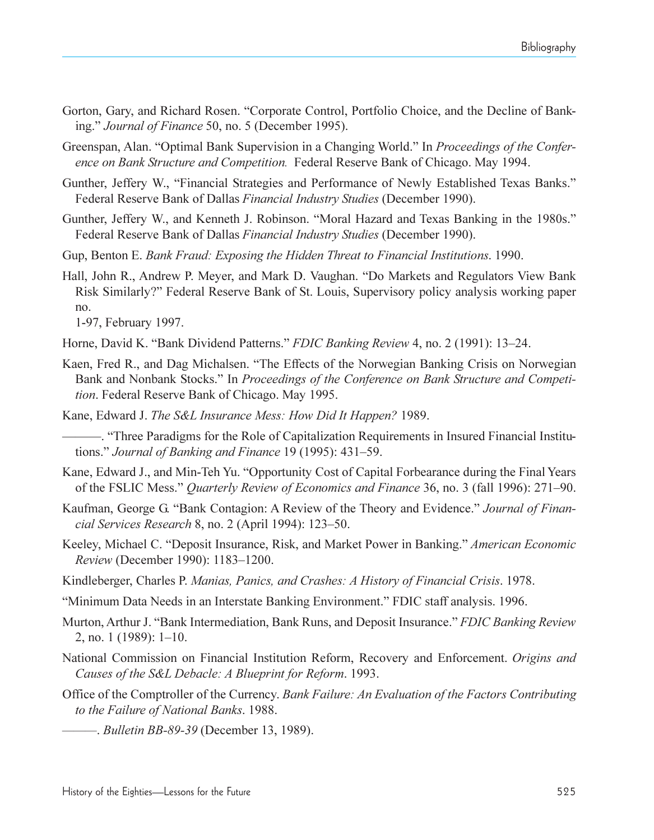- Gorton, Gary, and Richard Rosen. "Corporate Control, Portfolio Choice, and the Decline of Banking. *Journal of Finance* 50, no. 5 (December 1995).
- Greenspan, Alan. "Optimal Bank Supervision in a Changing World." In *Proceedings of the Conference on Bank Structure and Competition.* Federal Reserve Bank of Chicago. May 1994.
- Gunther, Jeffery W., "Financial Strategies and Performance of Newly Established Texas Banks." Federal Reserve Bank of Dallas *Financial Industry Studies* (December 1990).
- Gunther, Jeffery W., and Kenneth J. Robinson. "Moral Hazard and Texas Banking in the 1980s." Federal Reserve Bank of Dallas *Financial Industry Studies* (December 1990).
- Gup, Benton E. *Bank Fraud: Exposing the Hidden Threat to Financial Institutions*. 1990.
- Hall, John R., Andrew P. Meyer, and Mark D. Vaughan. "Do Markets and Regulators View Bank Risk Similarly? Federal Reserve Bank of St. Louis, Supervisory policy analysis working paper no.

1-97, February 1997.

- Horne, David K. "Bank Dividend Patterns." *FDIC Banking Review* 4, no. 2 (1991): 13–24.
- Kaen, Fred R., and Dag Michalsen. "The Effects of the Norwegian Banking Crisis on Norwegian Bank and Nonbank Stocks." In *Proceedings of the Conference on Bank Structure and Competition*. Federal Reserve Bank of Chicago. May 1995.
- Kane, Edward J. *The S&L Insurance Mess: How Did It Happen?* 1989.

. Three Paradigms for the Role of Capitalization Requirements in Insured Financial Institutions." *Journal of Banking and Finance* 19 (1995): 431–59.

- Kane, Edward J., and Min-Teh Yu. "Opportunity Cost of Capital Forbearance during the Final Years of the FSLIC Mess." Quarterly Review of Economics and Finance 36, no. 3 (fall 1996): 271-90.
- Kaufman, George G. "Bank Contagion: A Review of the Theory and Evidence." Journal of Finan*cial Services Research* 8, no. 2 (April 1994): 123–50.
- Keeley, Michael C. "Deposit Insurance, Risk, and Market Power in Banking." *American Economic Review* (December 1990): 1183-1200.
- Kindleberger, Charles P. *Manias, Panics, and Crashes: A History of Financial Crisis*. 1978.
- Minimum Data Needs in an Interstate Banking Environment. FDIC staff analysis. 1996.
- Murton, Arthur J. "Bank Intermediation, Bank Runs, and Deposit Insurance." *FDIC Banking Review*  $2$ , no. 1 (1989): 1–10.
- National Commission on Financial Institution Reform, Recovery and Enforcement. *Origins and Causes of the S&L Debacle: A Blueprint for Reform*. 1993.
- Office of the Comptroller of the Currency. *Bank Failure: An Evaluation of the Factors Contributing to the Failure of National Banks*. 1988.
	- . *Bulletin BB-89-39* (December 13, 1989).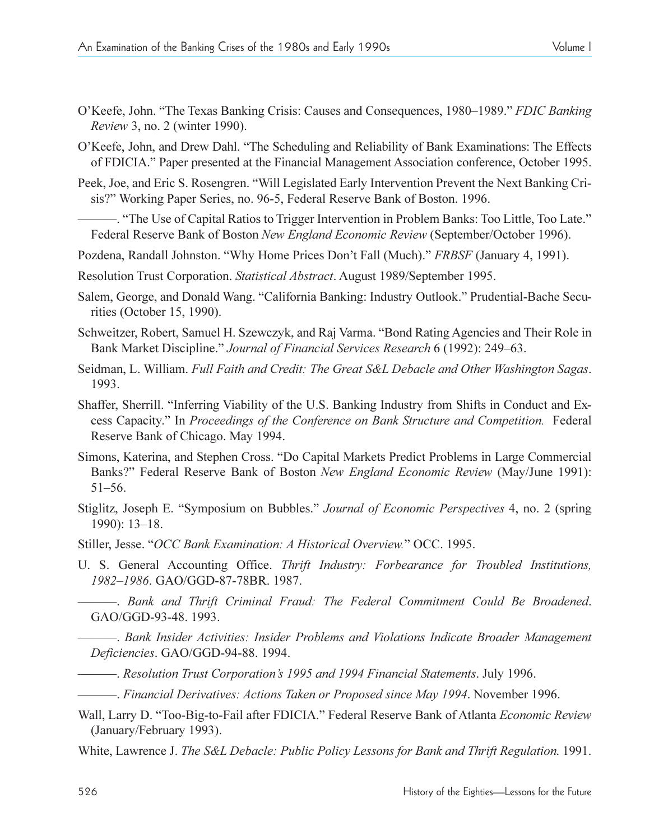- O'Keefe, John. "The Texas Banking Crisis: Causes and Consequences, 1980–1989." FDIC Banking *Review* 3, no. 2 (winter 1990).
- O'Keefe, John, and Drew Dahl. "The Scheduling and Reliability of Bank Examinations: The Effects of FDICIA. Paper presented at the Financial Management Association conference, October 1995.
- Peek, Joe, and Eric S. Rosengren. Will Legislated Early Intervention Prevent the Next Banking Crisis?" Working Paper Series, no. 96-5, Federal Reserve Bank of Boston. 1996.
	- . The Use of Capital Ratios to Trigger Intervention in Problem Banks: Too Little, Too Late." Federal Reserve Bank of Boston *New England Economic Review* (September/October 1996).

Pozdena, Randall Johnston. "Why Home Prices Don't Fall (Much)." FRBSF (January 4, 1991).

- Resolution Trust Corporation. *Statistical Abstract*. August 1989/September 1995.
- Salem, George, and Donald Wang. "California Banking: Industry Outlook." Prudential-Bache Securities (October 15, 1990).
- Schweitzer, Robert, Samuel H. Szewczyk, and Raj Varma. "Bond Rating Agencies and Their Role in Bank Market Discipline." *Journal of Financial Services Research* 6 (1992): 249–63.
- Seidman, L. William. *Full Faith and Credit: The Great S&L Debacle and Other Washington Sagas*. 1993.
- Shaffer, Sherrill. "Inferring Viability of the U.S. Banking Industry from Shifts in Conduct and Excess Capacity." In *Proceedings of the Conference on Bank Structure and Competition*. Federal Reserve Bank of Chicago. May 1994.
- Simons, Katerina, and Stephen Cross. "Do Capital Markets Predict Problems in Large Commercial Banks? Federal Reserve Bank of Boston *New England Economic Review* (May/June 1991):  $51 - 56.$
- Stiglitz, Joseph E. "Symposium on Bubbles." *Journal of Economic Perspectives* 4, no. 2 (spring 1990): 13-18.
- Stiller, Jesse. "OCC Bank Examination: A Historical Overview." OCC. 1995.
- U. S. General Accounting Office. *Thrift Industry: Forbearance for Troubled Institutions, 19821986*. GAO/GGD-87-78BR. 1987.
	- . *Bank and Thrift Criminal Fraud: The Federal Commitment Could Be Broadened*. GAO/GGD-93-48. 1993.
	- . *Bank Insider Activities: Insider Problems and Violations Indicate Broader Management Deficiencies*. GAO/GGD-94-88. 1994.
	- $-$ . *Resolution Trust Corporation's 1995 and 1994 Financial Statements*. July 1996.
	- . *Financial Derivatives: Actions Taken or Proposed since May 1994*. November 1996.
- Wall, Larry D. Too-Big-to-Fail after FDICIA. Federal Reserve Bank of Atlanta *Economic Review* (January/February 1993).
- White, Lawrence J. *The S&L Debacle: Public Policy Lessons for Bank and Thrift Regulation*. 1991.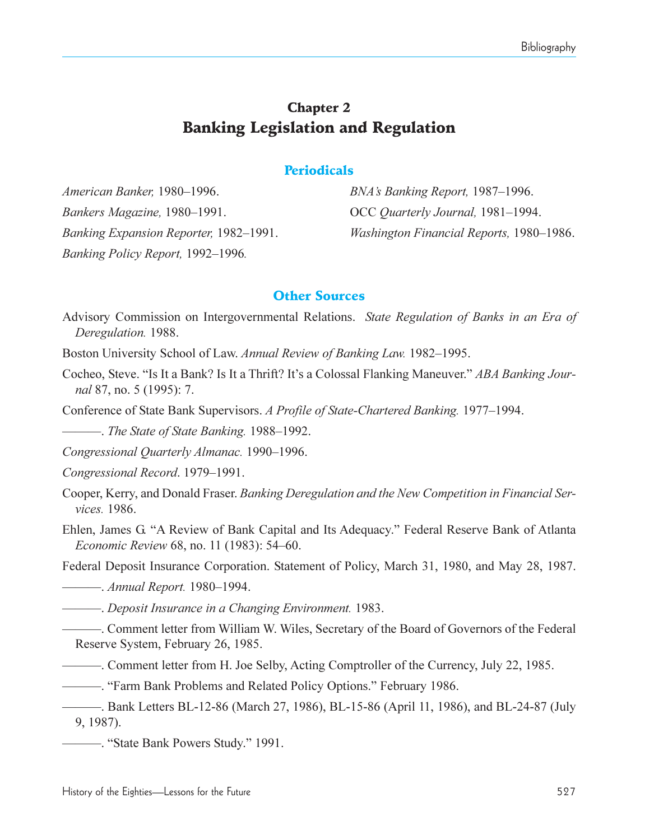# Chapter 2 Banking Legislation and Regulation

#### **Periodicals**

*American Banker,* 1980–1996. *BNA's Banking Report,* 1987–1996. *Bankers Magazine,* 1980–1991. **OCC** *Quarterly Journal,* 1981–1994. *Banking Policy Report,* 1992–1996.

*Banking Expansion Reporter,* 1982–1991. *Washington Financial Reports,* 1980–1986.

#### Other Sources

Advisory Commission on Intergovernmental Relations. *State Regulation of Banks in an Era of Deregulation.* 1988.

Boston University School of Law. *Annual Review of Banking Law.* 1982–1995.

- Cocheo, Steve. "Is It a Bank? Is It a Thrift? It's a Colossal Flanking Maneuver." *ABA Banking Journal* 87, no. 5 (1995): 7.
- Conference of State Bank Supervisors. *A Profile of State-Chartered Banking.* 1977–1994.

**. The State of State Banking.** 1988–1992.

*Congressional Quarterly Almanac.* 1990–1996.

- *Congressional Record.* 1979–1991.
- Cooper, Kerry, and Donald Fraser. *Banking Deregulation and the New Competition in Financial Services.* 1986.
- Ehlen, James G. "A Review of Bank Capital and Its Adequacy." Federal Reserve Bank of Atlanta *Economic Review* 68, no. 11 (1983): 54–60.

Federal Deposit Insurance Corporation. Statement of Policy, March 31, 1980, and May 28, 1987.

*Annual Report. 1980–1994.* 

. *Deposit Insurance in a Changing Environment.* 1983.

. Comment letter from William W. Wiles, Secretary of the Board of Governors of the Federal Reserve System, February 26, 1985.

. Comment letter from H. Joe Selby, Acting Comptroller of the Currency, July 22, 1985.

. Farm Bank Problems and Related Policy Options." February 1986.

. Bank Letters BL-12-86 (March 27, 1986), BL-15-86 (April 11, 1986), and BL-24-87 (July 9, 1987).

. State Bank Powers Study. 1991.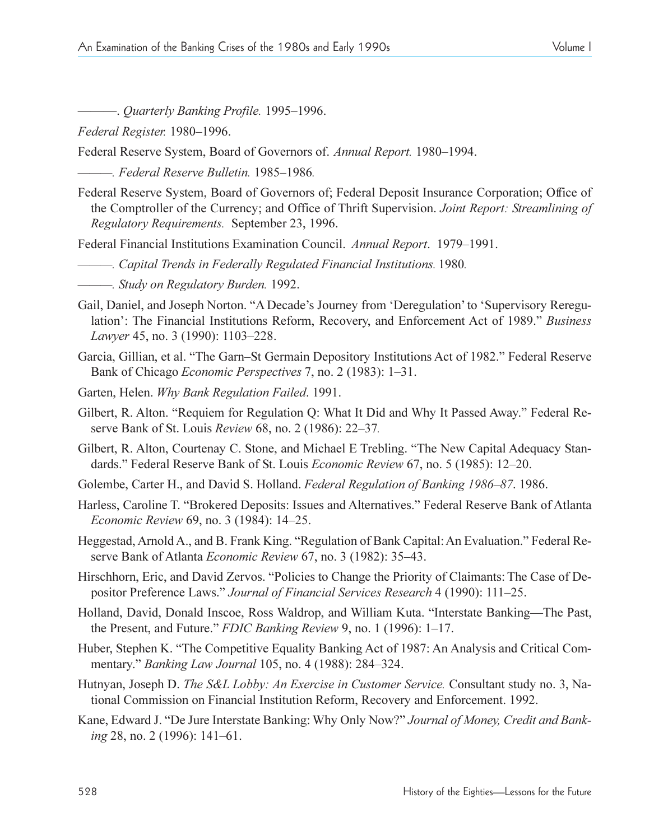. *Quarterly Banking Profile.* 19951996.

*Federal Register.* 1980–1996.

Federal Reserve System, Board of Governors of. Annual Report. 1980-1994.

*. Federal Reserve Bulletin.* 19851986*.*

Federal Reserve System, Board of Governors of; Federal Deposit Insurance Corporation; Office of the Comptroller of the Currency; and Office of Thrift Supervision. *Joint Report: Streamlining of Regulatory Requirements.* September 23, 1996.

Federal Financial Institutions Examination Council. *Annual Report*. 1979–1991.

- *. Capital Trends in Federally Regulated Financial Institutions.* 1980*.*
- *. Study on Regulatory Burden.* 1992.
- Gail, Daniel, and Joseph Norton. "A Decade's Journey from 'Deregulation' to 'Supervisory Reregulation: The Financial Institutions Reform, Recovery, and Enforcement Act of 1989. *Business Lawyer* 45, no. 3 (1990): 1103–228.
- Garcia, Gillian, et al. "The Garn-St Germain Depository Institutions Act of 1982." Federal Reserve Bank of Chicago *Economic Perspectives* 7, no. 2 (1983): 1–31.
- Garten, Helen. *Why Bank Regulation Failed*. 1991.
- Gilbert, R. Alton. "Requiem for Regulation Q: What It Did and Why It Passed Away." Federal Reserve Bank of St. Louis *Review* 68, no. 2 (1986): 22-37.
- Gilbert, R. Alton, Courtenay C. Stone, and Michael E Trebling. "The New Capital Adequacy Standards." Federal Reserve Bank of St. Louis *Economic Review* 67, no. 5 (1985): 12–20.
- Golembe, Carter H., and David S. Holland. *Federal Regulation of Banking 1986–87*. 1986.
- Harless, Caroline T. "Brokered Deposits: Issues and Alternatives." Federal Reserve Bank of Atlanta *Economic Review* 69, no. 3 (1984): 14–25.
- Heggestad, Arnold A., and B. Frank King. "Regulation of Bank Capital: An Evaluation." Federal Reserve Bank of Atlanta *Economic Review* 67, no. 3 (1982): 3543.
- Hirschhorn, Eric, and David Zervos. "Policies to Change the Priority of Claimants: The Case of Depositor Preference Laws." Journal of Financial Services Research 4 (1990): 111-25.
- Holland, David, Donald Inscoe, Ross Waldrop, and William Kuta. "Interstate Banking—The Past, the Present, and Future." *FDIC Banking Review* 9, no. 1 (1996): 1–17.
- Huber, Stephen K. "The Competitive Equality Banking Act of 1987: An Analysis and Critical Commentary." *Banking Law Journal* 105, no. 4 (1988): 284–324.
- Hutnyan, Joseph D. *The S&L Lobby: An Exercise in Customer Service.* Consultant study no. 3, National Commission on Financial Institution Reform, Recovery and Enforcement. 1992.
- Kane, Edward J. "De Jure Interstate Banking: Why Only Now?" *Journal of Money, Credit and Banking* 28, no. 2 (1996): 141–61.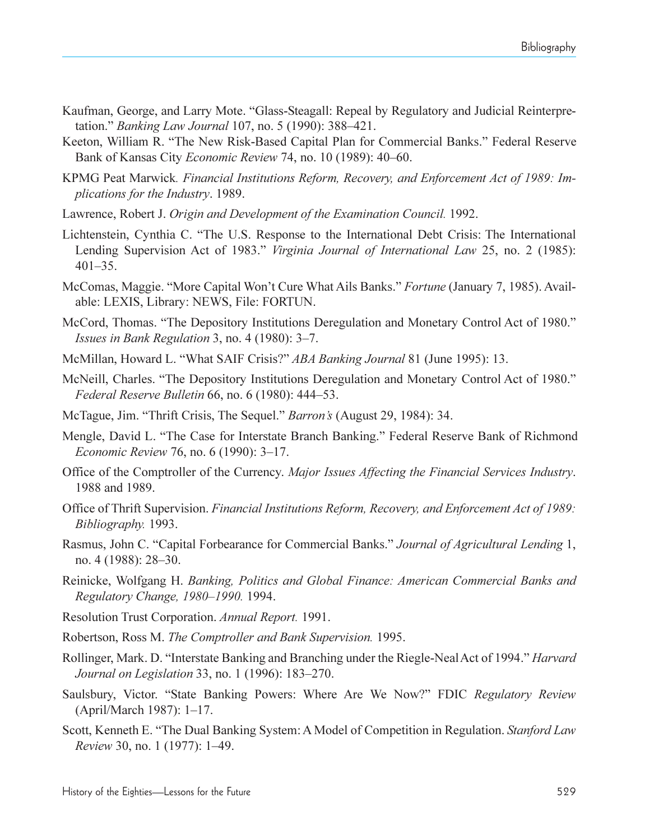- Kaufman, George, and Larry Mote. "Glass-Steagall: Repeal by Regulatory and Judicial Reinterpretation." *Banking Law Journal* 107, no. 5 (1990): 388–421.
- Keeton, William R. "The New Risk-Based Capital Plan for Commercial Banks." Federal Reserve Bank of Kansas City *Economic Review* 74, no. 10 (1989): 40–60.
- KPMG Peat Marwick*. Financial Institutions Reform, Recovery, and Enforcement Act of 1989: Implications for the Industry*. 1989.
- Lawrence, Robert J. *Origin and Development of the Examination Council.* 1992.
- Lichtenstein, Cynthia C. The U.S. Response to the International Debt Crisis: The International Lending Supervision Act of 1983." *Virginia Journal of International Law* 25, no. 2 (1985):  $401 - 35$ .
- McComas, Maggie. "More Capital Won't Cure What Ails Banks." *Fortune* (January 7, 1985). Available: LEXIS, Library: NEWS, File: FORTUN.
- McCord, Thomas. "The Depository Institutions Deregulation and Monetary Control Act of 1980." *Issues in Bank Regulation* 3, no. 4 (1980): 3–7.
- McMillan, Howard L. What SAIF Crisis? *ABA Banking Journal* 81 (June 1995): 13.
- McNeill, Charles. "The Depository Institutions Deregulation and Monetary Control Act of 1980." *Federal Reserve Bulletin* 66, no. 6 (1980): 444–53.
- McTague, Jim. "Thrift Crisis, The Sequel." *Barron's* (August 29, 1984): 34.
- Mengle, David L. "The Case for Interstate Branch Banking." Federal Reserve Bank of Richmond *Economic Review 76, no. 6 (1990): 3–17.*
- Office of the Comptroller of the Currency. *Major Issues Affecting the Financial Services Industry*. 1988 and 1989.
- Office of Thrift Supervision. *Financial Institutions Reform, Recovery, and Enforcement Act of 1989: Bibliography.* 1993.
- Rasmus, John C. Capital Forbearance for Commercial Banks. *Journal of Agricultural Lending* 1, no. 4 (1988): 28–30.
- Reinicke, Wolfgang H. *Banking, Politics and Global Finance: American Commercial Banks and Regulatory Change, 1980–1990.* 1994.
- Resolution Trust Corporation. *Annual Report.* 1991.
- Robertson, Ross M. *The Comptroller and Bank Supervision.* 1995.
- Rollinger, Mark. D. "Interstate Banking and Branching under the Riegle-Neal Act of 1994." *Harvard Journal on Legislation* 33, no. 1 (1996): 183-270.
- Saulsbury, Victor. "State Banking Powers: Where Are We Now?" FDIC *Regulatory Review*  $(April/March 1987)$ : 1-17.
- Scott, Kenneth E. The Dual Banking System: A Model of Competition in Regulation. *Stanford Law Review* 30, no. 1 (1977): 1–49.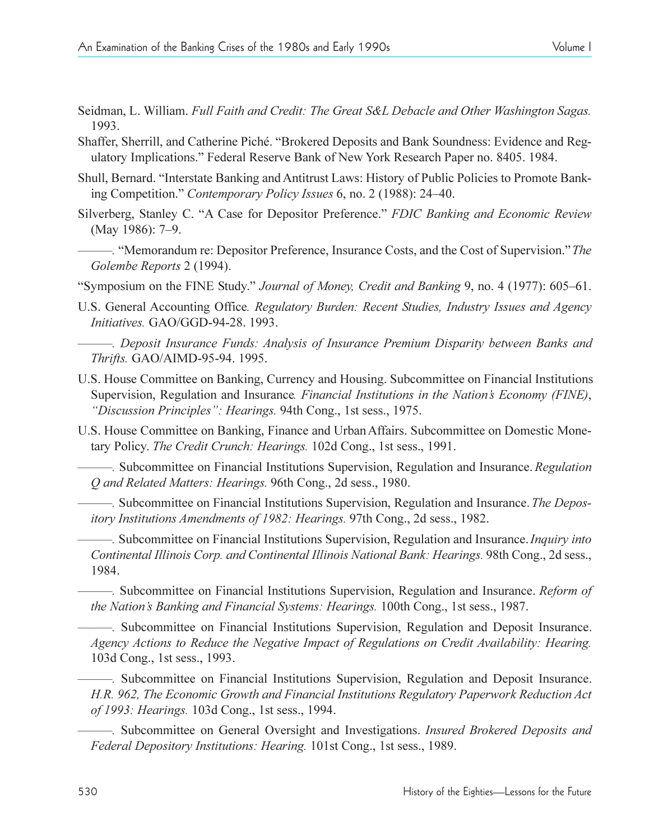- Seidman, L. William. *Full Faith and Credit: The Great S&L Debacle and Other Washington Sagas.* 1993.
- Shaffer, Sherrill, and Catherine Piché. "Brokered Deposits and Bank Soundness: Evidence and Regulatory Implications. Federal Reserve Bank of New York Research Paper no. 8405. 1984.
- Shull, Bernard. "Interstate Banking and Antitrust Laws: History of Public Policies to Promote Banking Competition." Contemporary Policy *Issues* 6, no. 2 (1988): 24–40.
- Silverberg, Stanley C. "A Case for Depositor Preference." *FDIC Banking and Economic Review* (May 1986): 7-9.
- *.* Memorandum re: Depositor Preference, Insurance Costs, and the Cost of Supervision.*The Golembe Reports* 2 (1994).
- "Symposium on the FINE Study." *Journal of Money, Credit and Banking* 9, no. 4 (1977): 605–61.
- U.S. General Accounting Office*. Regulatory Burden: Recent Studies, Industry Issues and Agency Initiatives.* GAO/GGD-94-28. 1993.
	- *. Deposit Insurance Funds: Analysis of Insurance Premium Disparity between Banks and Thrifts.* GAO/AIMD-95-94. 1995.
- U.S. House Committee on Banking, Currency and Housing. Subcommittee on Financial Institutions Supervision, Regulation and Insurance*. Financial Institutions in the Nations Economy (FINE)*, "Discussion Principles": Hearings. 94th Cong., 1st sess., 1975.
- U.S. House Committee on Banking, Finance and Urban Affairs. Subcommittee on Domestic Monetary Policy. *The Credit Crunch: Hearings.* 102d Cong., 1st sess., 1991.

*.* Subcommittee on Financial Institutions Supervision, Regulation and Insurance. *Regulation Q and Related Matters: Hearings.* 96th Cong., 2d sess., 1980.

*.* Subcommittee on Financial Institutions Supervision, Regulation and Insurance.*The Depository Institutions Amendments of 1982: Hearings.* 97th Cong., 2d sess., 1982.

*.* Subcommittee on Financial Institutions Supervision, Regulation and Insurance.*Inquiry into Continental Illinois Corp. and Continental Illinois National Bank: Hearings.* 98th Cong., 2d sess., 1984.

*.* Subcommittee on Financial Institutions Supervision, Regulation and Insurance. *Reform of the Nation's Banking and Financial Systems: Hearings.* 100th Cong., 1st sess., 1987.

*.* Subcommittee on Financial Institutions Supervision, Regulation and Deposit Insurance. *Agency Actions to Reduce the Negative Impact of Regulations on Credit Availability: Hearing.* 103d Cong., 1st sess., 1993.

*.* Subcommittee on Financial Institutions Supervision, Regulation and Deposit Insurance. *H.R. 962, The Economic Growth and Financial Institutions Regulatory Paperwork Reduction Act of 1993: Hearings.* 103d Cong., 1st sess., 1994.

*.* Subcommittee on General Oversight and Investigations. *Insured Brokered Deposits and Federal Depository Institutions: Hearing.* 101st Cong., 1st sess., 1989.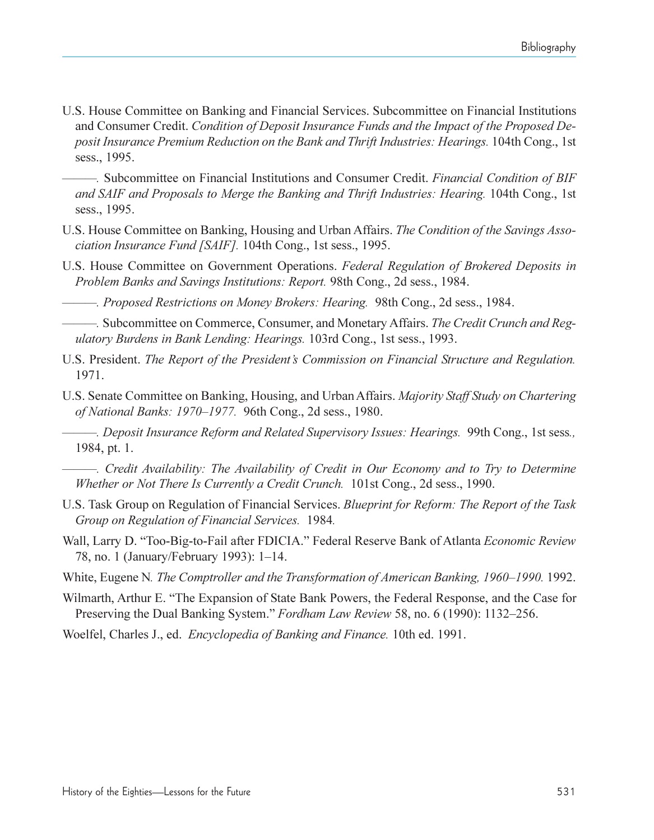- U.S. House Committee on Banking and Financial Services. Subcommittee on Financial Institutions and Consumer Credit. *Condition of Deposit Insurance Funds and the Impact of the Proposed Deposit Insurance Premium Reduction on the Bank and Thrift Industries: Hearings.* 104th Cong., 1st sess., 1995.
	- *.* Subcommittee on Financial Institutions and Consumer Credit. *Financial Condition of BIF and SAIF and Proposals to Merge the Banking and Thrift Industries: Hearing.* 104th Cong., 1st sess., 1995.
- U.S. House Committee on Banking, Housing and Urban Affairs. *The Condition of the Savings Association Insurance Fund [SAIF].* 104th Cong., 1st sess., 1995.
- U.S. House Committee on Government Operations. *Federal Regulation of Brokered Deposits in Problem Banks and Savings Institutions: Report.* 98th Cong., 2d sess., 1984.
- *. Proposed Restrictions on Money Brokers: Hearing.* 98th Cong., 2d sess., 1984.

*.* Subcommittee on Commerce, Consumer, and Monetary Affairs. *The Credit Crunch and Regulatory Burdens in Bank Lending: Hearings.* 103rd Cong., 1st sess., 1993.

- U.S. President. *The Report of the Presidents Commission on Financial Structure and Regulation.* 1971.
- U.S. Senate Committee on Banking, Housing, and Urban Affairs. *Majority Staff Study on Chartering of National Banks: 1970–1977.* 96th Cong., 2d sess., 1980.

*. Deposit Insurance Reform and Related Supervisory Issues: Hearings.* 99th Cong., 1st sess*.,* 1984, pt. 1.

- *. Credit Availability: The Availability of Credit in Our Economy and to Try to Determine Whether or Not There Is Currently a Credit Crunch.* 101st Cong., 2d sess., 1990.
- U.S. Task Group on Regulation of Financial Services. *Blueprint for Reform: The Report of the Task Group on Regulation of Financial Services.* 1984*.*
- Wall, Larry D. Too-Big-to-Fail after FDICIA. Federal Reserve Bank of Atlanta *Economic Review* 78, no. 1 (January/February 1993): 1–14.
- White, Eugene N. The Comptroller and the Transformation of American Banking, 1960–1990. 1992.
- Wilmarth, Arthur E. "The Expansion of State Bank Powers, the Federal Response, and the Case for Preserving the Dual Banking System." *Fordham Law Review* 58, no. 6 (1990): 1132–256.
- Woelfel, Charles J., ed. *Encyclopedia of Banking and Finance.* 10th ed. 1991.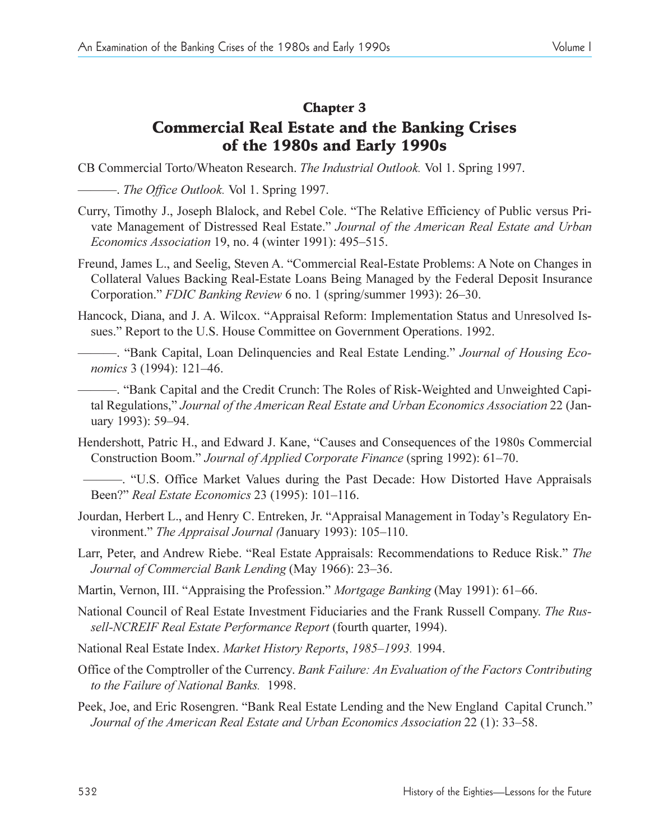### Chapter 3

# Commercial Real Estate and the Banking Crises of the 1980s and Early 1990s

CB Commercial Torto/Wheaton Research. *The Industrial Outlook.* Vol 1. Spring 1997.

. *The Office Outlook.* Vol 1. Spring 1997.

- Curry, Timothy J., Joseph Blalock, and Rebel Cole. The Relative Efficiency of Public versus Private Management of Distressed Real Estate. *Journal of the American Real Estate and Urban Economics Association* 19, no. 4 (winter 1991): 495–515.
- Freund, James L., and Seelig, Steven A. "Commercial Real-Estate Problems: A Note on Changes in Collateral Values Backing Real-Estate Loans Being Managed by the Federal Deposit Insurance Corporation." *FDIC Banking Review 6* no. 1 (spring/summer 1993): 26–30.
- Hancock, Diana, and J. A. Wilcox. "Appraisal Reform: Implementation Status and Unresolved Issues." Report to the U.S. House Committee on Government Operations. 1992.
- -. "Bank Capital, Loan Delinquencies and Real Estate Lending." *Journal of Housing Economics* 3 (1994): 121-46.

- "Bank Capital and the Credit Crunch: The Roles of Risk-Weighted and Unweighted Capital Regulations, *Journal of the American Real Estate and Urban Economics Association* 22 (January 1993): 59-94.

- Hendershott, Patric H., and Edward J. Kane, "Causes and Consequences of the 1980s Commercial Construction Boom." *Journal of Applied Corporate Finance* (spring 1992): 61–70.
- . U.S. Office Market Values during the Past Decade: How Distorted Have Appraisals Been?" *Real Estate Economics* 23 (1995): 101-116.
- Jourdan, Herbert L., and Henry C. Entreken, Jr. "Appraisal Management in Today's Regulatory Environment." *The Appraisal Journal (January 1993)*: 105–110.
- Larr, Peter, and Andrew Riebe. "Real Estate Appraisals: Recommendations to Reduce Risk." The *Journal of Commercial Bank Lending* (May 1966): 23–36.
- Martin, Vernon, III. "Appraising the Profession." *Mortgage Banking* (May 1991): 61–66.
- National Council of Real Estate Investment Fiduciaries and the Frank Russell Company. *The Russell-NCREIF Real Estate Performance Report* (fourth quarter, 1994).
- National Real Estate Index. *Market History Reports*, 1985-1993. 1994.
- Office of the Comptroller of the Currency. *Bank Failure: An Evaluation of the Factors Contributing to the Failure of National Banks.* 1998.
- Peek, Joe, and Eric Rosengren. "Bank Real Estate Lending and the New England Capital Crunch." *Journal of the American Real Estate and Urban Economics Association* 22 (1): 33–58.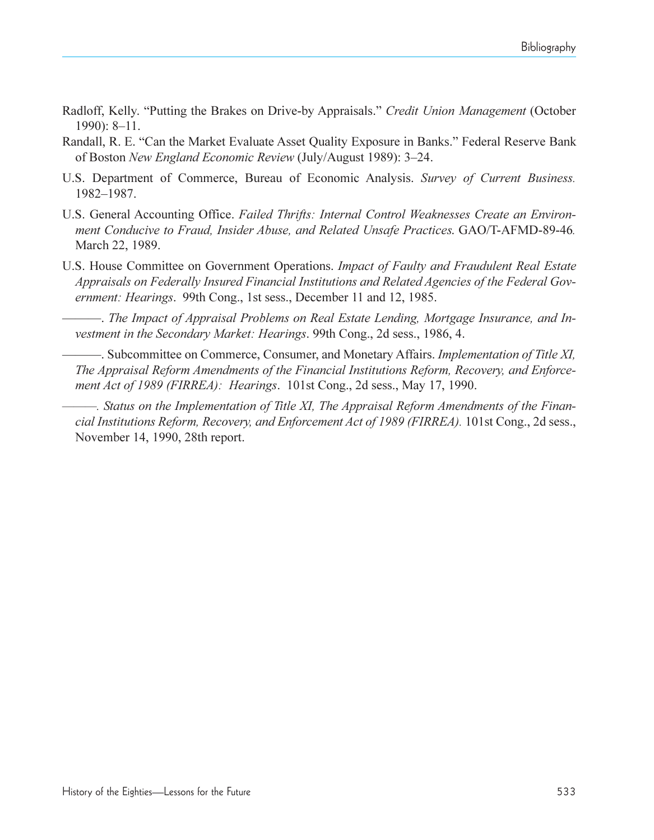- Radloff, Kelly. "Putting the Brakes on Drive-by Appraisals." Credit Union Management (October  $1990$ : 8-11.
- Randall, R. E. "Can the Market Evaluate Asset Quality Exposure in Banks." Federal Reserve Bank of Boston *New England Economic Review* (July/August 1989): 3-24.
- U.S. Department of Commerce, Bureau of Economic Analysis. *Survey of Current Business.* 1982-1987.
- U.S. General Accounting Office. *Failed Thrifts: Internal Control Weaknesses Create an Environment Conducive to Fraud, Insider Abuse, and Related Unsafe Practices*. GAO/T-AFMD-89-46*.* March 22, 1989.
- U.S. House Committee on Government Operations. *Impact of Faulty and Fraudulent Real Estate Appraisals on Federally Insured Financial Institutions and Related Agencies of the Federal Government: Hearings*. 99th Cong., 1st sess., December 11 and 12, 1985.

. *The Impact of Appraisal Problems on Real Estate Lending, Mortgage Insurance, and Investment in the Secondary Market: Hearings*. 99th Cong., 2d sess., 1986, 4.

. Subcommittee on Commerce, Consumer, and Monetary Affairs. *Implementation of Title XI, The Appraisal Reform Amendments of the Financial Institutions Reform, Recovery, and Enforcement Act of 1989 (FIRREA): Hearings*. 101st Cong., 2d sess., May 17, 1990.

*. Status on the Implementation of Title XI, The Appraisal Reform Amendments of the Financial Institutions Reform, Recovery, and Enforcement Act of 1989 (FIRREA).* 101st Cong., 2d sess., November 14, 1990, 28th report.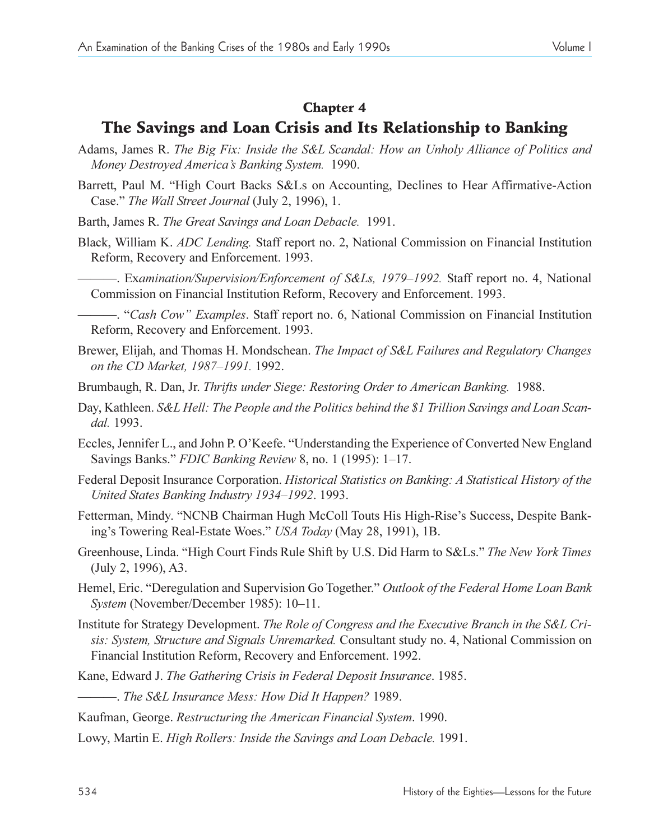#### Chapter 4

## The Savings and Loan Crisis and Its Relationship to Banking

- Adams, James R. *The Big Fix: Inside the S&L Scandal: How an Unholy Alliance of Politics and Money Destroyed America's Banking System.* 1990.
- Barrett, Paul M. "High Court Backs S&Ls on Accounting, Declines to Hear Affirmative-Action Case." The Wall Street Journal (July 2, 1996), 1.
- Barth, James R. *The Great Savings and Loan Debacle.* 1991.
- Black, William K. *ADC Lending.* Staff report no. 2, National Commission on Financial Institution Reform, Recovery and Enforcement. 1993.
	- Examination/Supervision/Enforcement of S&Ls, 1979-1992. Staff report no. 4, National Commission on Financial Institution Reform, Recovery and Enforcement. 1993.
- . *Cash Cow Examples*. Staff report no. 6, National Commission on Financial Institution Reform, Recovery and Enforcement. 1993.
- Brewer, Elijah, and Thomas H. Mondschean. *The Impact of S&L Failures and Regulatory Changes on the CD Market, 1987-1991.* 1992.
- Brumbaugh, R. Dan, Jr. *Thrifts under Siege: Restoring Order to American Banking.* 1988.
- Day, Kathleen. *S&L Hell: The People and the Politics behind the \$1 Trillion Savings and Loan Scandal.* 1993.
- Eccles, Jennifer L., and John P. O'Keefe. "Understanding the Experience of Converted New England Savings Banks." *FDIC Banking Review 8*, no. 1 (1995): 1–17.
- Federal Deposit Insurance Corporation. *Historical Statistics on Banking: A Statistical History of the United States Banking Industry 1934–1992.* 1993.
- Fetterman, Mindy. "NCNB Chairman Hugh McColl Touts His High-Rise's Success, Despite Banking's Towering Real-Estate Woes." USA Today (May 28, 1991), 1B.
- Greenhouse, Linda. High Court Finds Rule Shift by U.S. Did Harm to S&Ls. *The New York Times* (July 2, 1996), A3.
- Hemel, Eric. "Deregulation and Supervision Go Together." Outlook of the Federal Home Loan Bank *System* (November/December 1985): 10-11.
- Institute for Strategy Development. *The Role of Congress and the Executive Branch in the S&L Crisis: System, Structure and Signals Unremarked.* Consultant study no. 4, National Commission on Financial Institution Reform, Recovery and Enforcement. 1992.
- Kane, Edward J. *The Gathering Crisis in Federal Deposit Insurance*. 1985.
- . *The S&L Insurance Mess: How Did It Happen?* 1989.
- Kaufman, George. *Restructuring the American Financial System*. 1990.
- Lowy, Martin E. *High Rollers: Inside the Savings and Loan Debacle.* 1991.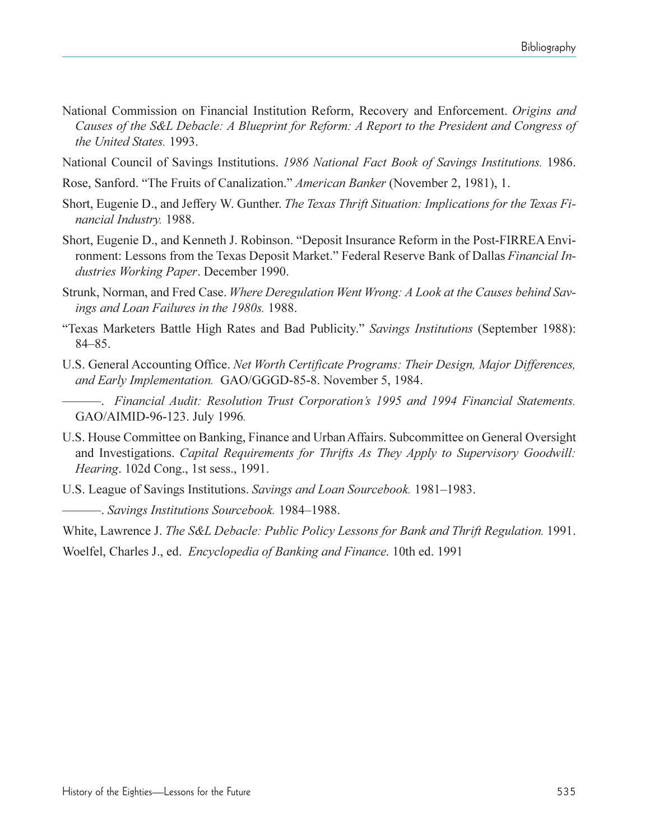- National Commission on Financial Institution Reform, Recovery and Enforcement. *Origins and Causes of the S&L Debacle: A Blueprint for Reform: A Report to the President and Congress of the United States.* 1993.
- National Council of Savings Institutions. *1986 National Fact Book of Savings Institutions.* 1986.
- Rose, Sanford. The Fruits of Canalization. *American Banker* (November 2, 1981), 1.
- Short, Eugenie D., and Jeffery W. Gunther. *The Texas Thrift Situation: Implications for the Texas Financial Industry.* 1988.
- Short, Eugenie D., and Kenneth J. Robinson. "Deposit Insurance Reform in the Post-FIRREA Environment: Lessons from the Texas Deposit Market." Federal Reserve Bank of Dallas *Financial Industries Working Paper*. December 1990.
- Strunk, Norman, and Fred Case. *Where Deregulation Went Wrong: A Look at the Causes behind Savings and Loan Failures in the 1980s.* 1988.
- Texas Marketers Battle High Rates and Bad Publicity. *Savings Institutions* (September 1988):  $84 - 85.$
- U.S. General Accounting Office. *Net Worth Certificate Programs: Their Design, Major Differences, and Early Implementation.* GAO/GGGD-85-8. November 5, 1984.

. *Financial Audit: Resolution Trust Corporations 1995 and 1994 Financial Statements.* GAO/AIMID-96-123. July 1996*.*

- U.S. House Committee on Banking, Finance and Urban Affairs. Subcommittee on General Oversight and Investigations. *Capital Requirements for Thrifts As They Apply to Supervisory Goodwill: Hearing*. 102d Cong., 1st sess., 1991.
- U.S. League of Savings Institutions. *Savings and Loan Sourcebook*. 1981–1983.

 $-$ . *Savings Institutions Sourcebook.* 1984–1988.

White, Lawrence J. *The S&L Debacle: Public Policy Lessons for Bank and Thrift Regulation.* 1991.

Woelfel, Charles J., ed. *Encyclopedia of Banking and Finance*. 10th ed. 1991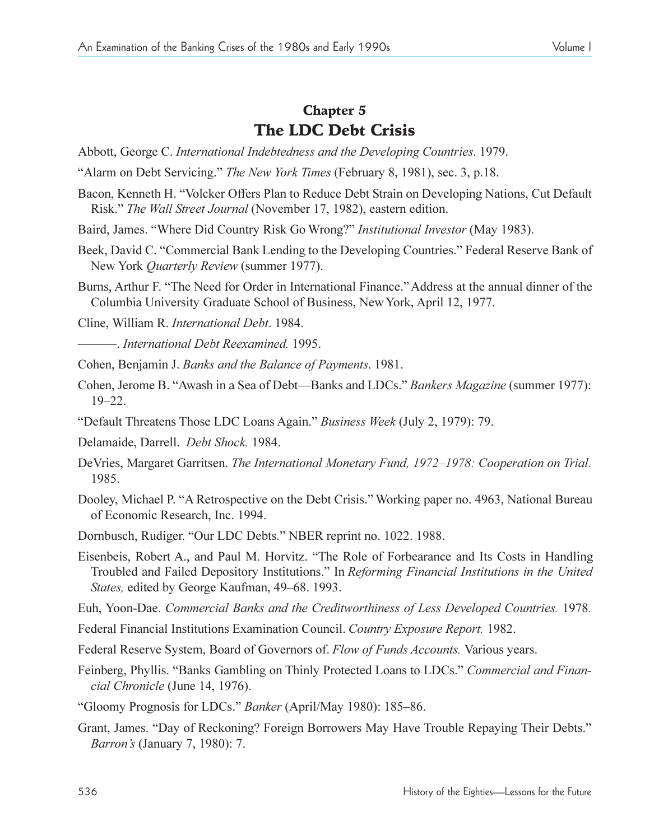## Chapter 5 The LDC Debt Crisis

- Abbott, George C. *International Indebtedness and the Developing Countries*. 1979.
- Alarm on Debt Servicing. *The New York Times* (February 8, 1981), sec. 3, p.18.
- Bacon, Kenneth H. "Volcker Offers Plan to Reduce Debt Strain on Developing Nations, Cut Default Risk. *The Wall Street Journal* (November 17, 1982), eastern edition.
- Baird, James. Where Did Country Risk Go Wrong? *Institutional Investor* (May 1983).
- Beek, David C. "Commercial Bank Lending to the Developing Countries." Federal Reserve Bank of New York *Quarterly Review* (summer 1977).
- Burns, Arthur F. "The Need for Order in International Finance." Address at the annual dinner of the Columbia University Graduate School of Business, New York, April 12, 1977.

Cline, William R. *International Debt*. 1984.

. *International Debt Reexamined.* 1995.

Cohen, Benjamin J. *Banks and the Balance of Payments*. 1981.

- Cohen, Jerome B. "Awash in a Sea of Debt—Banks and LDCs." *Bankers Magazine* (summer 1977):  $19 - 22.$
- Default Threatens Those LDC Loans Again. *Business Week* (July 2, 1979): 79.
- Delamaide, Darrell. *Debt Shock.* 1984.
- DeVries, Margaret Garritsen. *The International Monetary Fund, 1972–1978: Cooperation on Trial.* 1985.
- Dooley, Michael P. "A Retrospective on the Debt Crisis." Working paper no. 4963, National Bureau of Economic Research, Inc. 1994.
- Dornbusch, Rudiger. "Our LDC Debts." NBER reprint no. 1022. 1988.
- Eisenbeis, Robert A., and Paul M. Horvitz. The Role of Forbearance and Its Costs in Handling Troubled and Failed Depository Institutions. In *Reforming Financial Institutions in the United States, edited by George Kaufman, 49–68. 1993.*
- Euh, Yoon-Dae. *Commercial Banks and the Creditworthiness of Less Developed Countries.* 1978*.*
- Federal Financial Institutions Examination Council. *Country Exposure Report.* 1982.

Federal Reserve System, Board of Governors of. *Flow of Funds Accounts.* Various years.

- Feinberg, Phyllis. "Banks Gambling on Thinly Protected Loans to LDCs." Commercial and Finan*cial Chronicle* (June 14, 1976).
- "Gloomy Prognosis for LDCs." *Banker* (April/May 1980): 185–86.
- Grant, James. "Day of Reckoning? Foreign Borrowers May Have Trouble Repaying Their Debts." *Barron's* (January 7, 1980): 7.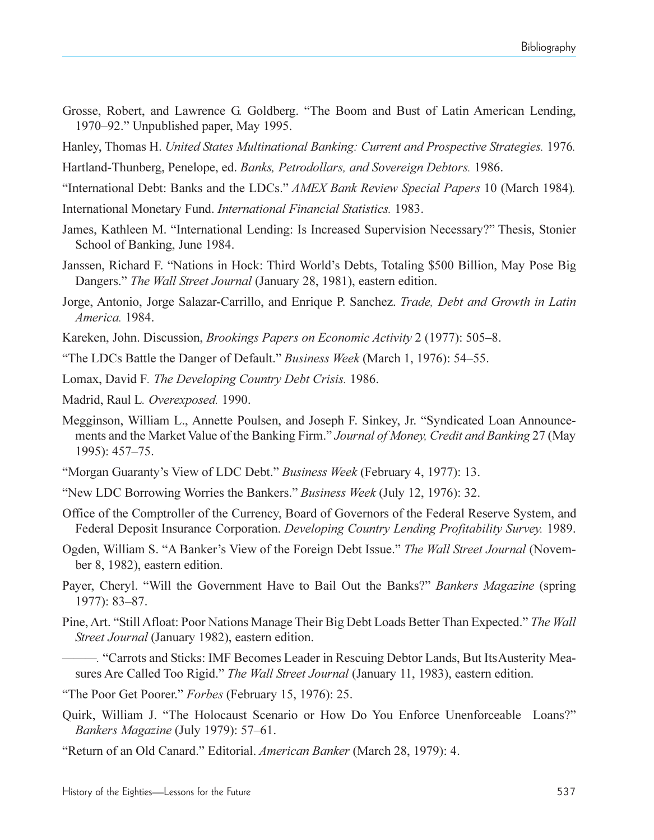- Grosse, Robert, and Lawrence G. Goldberg. "The Boom and Bust of Latin American Lending, 1970–92." Unpublished paper, May 1995.
- Hanley, Thomas H. *United States Multinational Banking: Current and Prospective Strategies.* 1976*.*
- Hartland-Thunberg, Penelope, ed. *Banks, Petrodollars, and Sovereign Debtors.* 1986.
- International Debt: Banks and the LDCs. *AMEX Bank Review Special Papers* 10 (March 1984)*.*
- International Monetary Fund. *International Financial Statistics.* 1983.
- James, Kathleen M. "International Lending: Is Increased Supervision Necessary?" Thesis, Stonier School of Banking, June 1984.
- Janssen, Richard F. "Nations in Hock: Third World's Debts, Totaling \$500 Billion, May Pose Big Dangers." The Wall Street Journal (January 28, 1981), eastern edition.
- Jorge, Antonio, Jorge Salazar-Carrillo, and Enrique P. Sanchez. *Trade, Debt and Growth in Latin America.* 1984.
- Kareken, John. Discussion, *Brookings Papers on Economic Activity* 2 (1977): 505–8.
- "The LDCs Battle the Danger of Default." *Business Week* (March 1, 1976): 54–55.
- Lomax, David F*. The Developing Country Debt Crisis.* 1986.
- Madrid, Raul L*. Overexposed.* 1990.
- Megginson, William L., Annette Poulsen, and Joseph F. Sinkey, Jr. "Syndicated Loan Announcements and the Market Value of the Banking Firm. *Journal of Money, Credit and Banking* 27 (May 1995): 457–75.
- Morgan Guarantys View of LDC Debt. *Business Week* (February 4, 1977): 13.
- New LDC Borrowing Worries the Bankers. *Business Week* (July 12, 1976): 32.
- Office of the Comptroller of the Currency, Board of Governors of the Federal Reserve System, and Federal Deposit Insurance Corporation. *Developing Country Lending Profitability Survey.* 1989.
- Ogden, William S. "A Banker's View of the Foreign Debt Issue." The Wall Street Journal (November 8, 1982), eastern edition.
- Payer, Cheryl. "Will the Government Have to Bail Out the Banks?" *Bankers Magazine* (spring 1977): 83-87.
- Pine, Art. "Still Afloat: Poor Nations Manage Their Big Debt Loads Better Than Expected." The Wall *Street Journal* (January 1982), eastern edition.
	- *.* Carrots and Sticks: IMF Becomes Leader in Rescuing Debtor Lands, But Its Austerity Measures Are Called Too Rigid. *The Wall Street Journal* (January 11, 1983), eastern edition.
- "The Poor Get Poorer." *Forbes* (February 15, 1976): 25.
- Quirk, William J. "The Holocaust Scenario or How Do You Enforce Unenforceable Loans?" *Bankers Magazine* (July 1979): 57–61.
- "Return of an Old Canard." Editorial. *American Banker* (March 28, 1979): 4.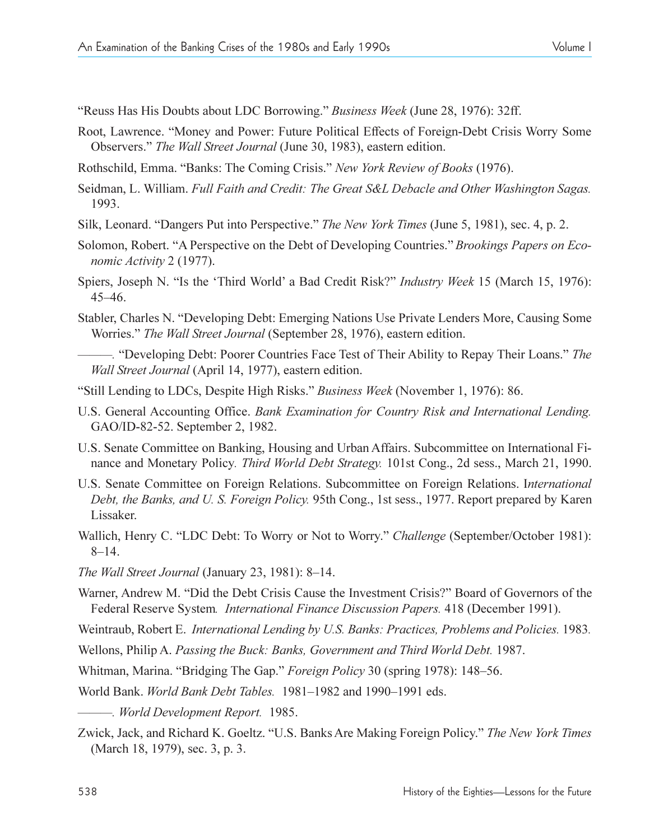Reuss Has His Doubts about LDC Borrowing. *Business Week* (June 28, 1976): 32ff.

- Root, Lawrence. "Money and Power: Future Political Effects of Foreign-Debt Crisis Worry Some Observers." *The Wall Street Journal* (June 30, 1983), eastern edition.
- Rothschild, Emma. "Banks: The Coming Crisis." New York Review of Books (1976).
- Seidman, L. William. *Full Faith and Credit: The Great S&L Debacle and Other Washington Sagas.* 1993.
- Silk, Leonard. "Dangers Put into Perspective." *The New York Times* (June 5, 1981), sec. 4, p. 2.
- Solomon, Robert. "A Perspective on the Debt of Developing Countries." *Brookings Papers on Economic Activity* 2 (1977).
- Spiers, Joseph N. "Is the 'Third World' a Bad Credit Risk?" *Industry Week* 15 (March 15, 1976): 4546.
- Stabler, Charles N. "Developing Debt: Emerging Nations Use Private Lenders More, Causing Some Worries." *The Wall Street Journal* (September 28, 1976), eastern edition.
- $\sim$  "Developing Debt: Poorer Countries Face Test of Their Ability to Repay Their Loans." The *Wall Street Journal* (April 14, 1977), eastern edition.
- Still Lending to LDCs, Despite High Risks. *Business Week* (November 1, 1976): 86.
- U.S. General Accounting Office. *Bank Examination for Country Risk and International Lending.* GAO/ID-82-52. September 2, 1982.
- U.S. Senate Committee on Banking, Housing and Urban Affairs. Subcommittee on International Finance and Monetary Policy*. Third World Debt Strategy.* 101st Cong., 2d sess., March 21, 1990.
- U.S. Senate Committee on Foreign Relations. Subcommittee on Foreign Relations. I*nternational Debt, the Banks, and U. S. Foreign Policy.* 95th Cong., 1st sess., 1977. Report prepared by Karen Lissaker.
- Wallich, Henry C. "LDC Debt: To Worry or Not to Worry." Challenge (September/October 1981):  $8-14.$
- *The Wall Street Journal* (January 23, 1981): 8-14.
- Warner, Andrew M. "Did the Debt Crisis Cause the Investment Crisis?" Board of Governors of the Federal Reserve System*. International Finance Discussion Papers.* 418 (December 1991).
- Weintraub, Robert E. *International Lending by U.S. Banks: Practices, Problems and Policies.* 1983*.*
- Wellons, Philip A. *Passing the Buck: Banks, Government and Third World Debt.* 1987.
- Whitman, Marina. "Bridging The Gap." Foreign Policy 30 (spring 1978): 148-56.
- World Bank. *World Bank Debt Tables.* 1981-1982 and 1990-1991 eds.
- *. World Development Report.* 1985.
- Zwick, Jack, and Richard K. Goeltz. U.S. Banks Are Making Foreign Policy. *The New York Times* (March 18, 1979), sec. 3, p. 3.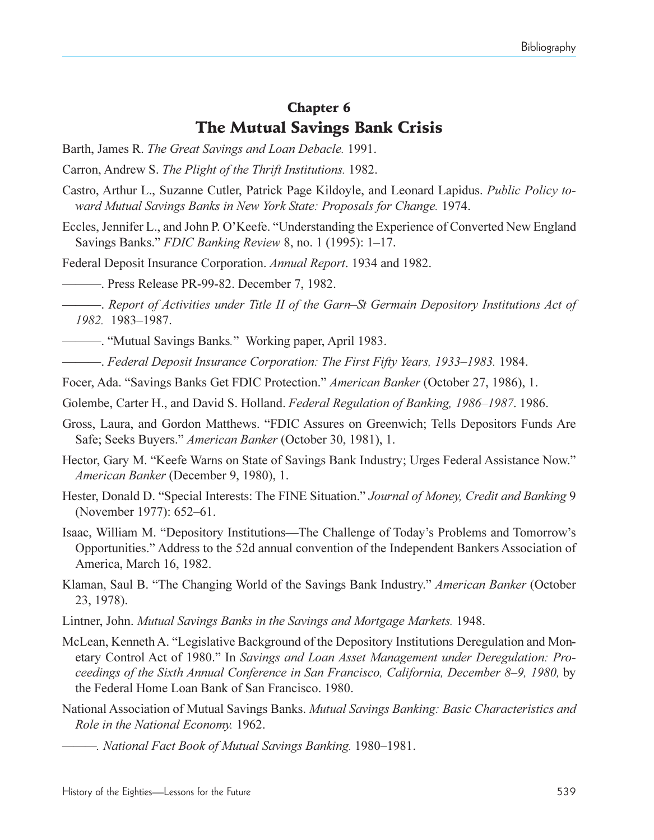# Chapter 6 The Mutual Savings Bank Crisis

- Barth, James R. *The Great Savings and Loan Debacle.* 1991.
- Carron, Andrew S. *The Plight of the Thrift Institutions.* 1982.
- Castro, Arthur L., Suzanne Cutler, Patrick Page Kildoyle, and Leonard Lapidus. *Public Policy toward Mutual Savings Banks in New York State: Proposals for Change.* 1974.
- Eccles, Jennifer L., and John P. O'Keefe. "Understanding the Experience of Converted New England Savings Banks." *FDIC Banking Review* 8, no. 1 (1995): 1–17.
- Federal Deposit Insurance Corporation. *Annual Report*. 1934 and 1982.
- . Press Release PR-99-82. December 7, 1982.
- . *Report of Activities under Title II of the GarnSt Germain Depository Institutions Act of 1982.* 1983-1987.
- . Mutual Savings Banks*.* Working paper, April 1983.
- **.** *Federal Deposit Insurance Corporation: The First Fifty Years, 1933–1983.* **1984.**
- Focer, Ada. "Savings Banks Get FDIC Protection." American Banker (October 27, 1986), 1.
- Golembe, Carter H., and David S. Holland. *Federal Regulation of Banking, 1986–1987*. 1986.
- Gross, Laura, and Gordon Matthews. "FDIC Assures on Greenwich; Tells Depositors Funds Are Safe; Seeks Buyers." *American Banker* (October 30, 1981), 1.
- Hector, Gary M. "Keefe Warns on State of Savings Bank Industry; Urges Federal Assistance Now." *American Banker* (December 9, 1980), 1.
- Hester, Donald D. "Special Interests: The FINE Situation." *Journal of Money, Credit and Banking* 9 (November 1977): 652-61.
- Isaac, William M. "Depository Institutions—The Challenge of Today's Problems and Tomorrow's Opportunities. Address to the 52d annual convention of the Independent Bankers Association of America, March 16, 1982.
- Klaman, Saul B. The Changing World of the Savings Bank Industry. *American Banker* (October 23, 1978).
- Lintner, John. *Mutual Savings Banks in the Savings and Mortgage Markets.* 1948.
- McLean, Kenneth A. "Legislative Background of the Depository Institutions Deregulation and Monetary Control Act of 1980." In *Savings and Loan Asset Management under Deregulation: Proceedings of the Sixth Annual Conference in San Francisco, California, December 8–9, 1980, by* the Federal Home Loan Bank of San Francisco. 1980.
- National Association of Mutual Savings Banks. *Mutual Savings Banking: Basic Characteristics and Role in the National Economy.* 1962.
	- <sup>-</sup>. National Fact Book of Mutual Savings Banking. 1980-1981.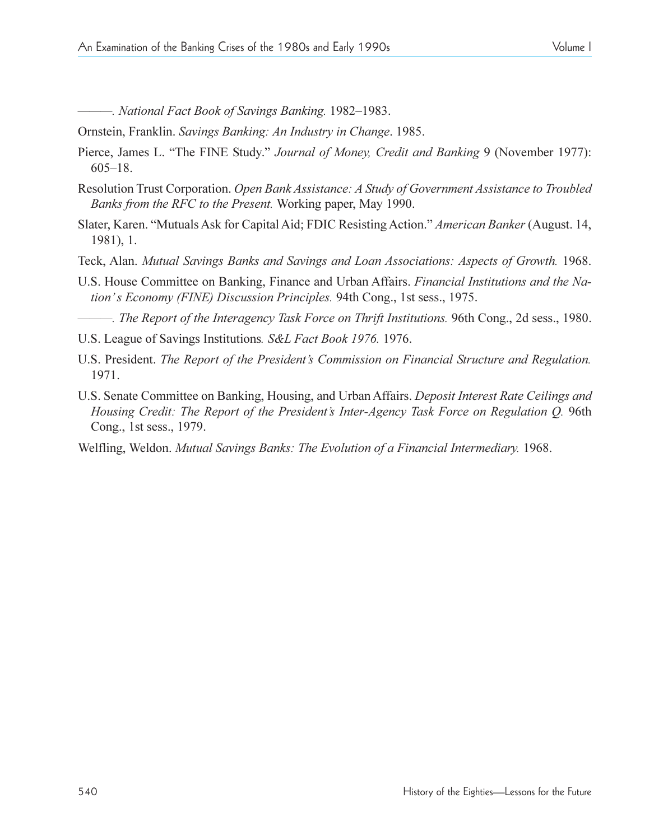**-. National Fact Book of Savings Banking. 1982–1983.** 

Ornstein, Franklin. *Savings Banking: An Industry in Change*. 1985.

- Pierce, James L. "The FINE Study." *Journal of Money, Credit and Banking* 9 (November 1977):  $605-18.$
- Resolution Trust Corporation. *Open Bank Assistance: A Study of Government Assistance to Troubled Banks from the RFC to the Present.* Working paper, May 1990.
- Slater, Karen. Mutuals Ask for Capital Aid; FDIC Resisting Action. *American Banker* (August. 14, 1981), 1.
- Teck, Alan. *Mutual Savings Banks and Savings and Loan Associations: Aspects of Growth.* 1968.
- U.S. House Committee on Banking, Finance and Urban Affairs. *Financial Institutions and the Nation's Economy (FINE) Discussion Principles.* 94th Cong., 1st sess., 1975.

*. The Report of the Interagency Task Force on Thrift Institutions.* 96th Cong., 2d sess., 1980.

- U.S. League of Savings Institutions*. S&L Fact Book 1976.* 1976.
- U.S. President. *The Report of the Presidents Commission on Financial Structure and Regulation.* 1971.
- U.S. Senate Committee on Banking, Housing, and Urban Affairs. *Deposit Interest Rate Ceilings and Housing Credit: The Report of the President's Inter-Agency Task Force on Regulation Q.* 96th Cong., 1st sess., 1979.
- Welfling, Weldon. *Mutual Savings Banks: The Evolution of a Financial Intermediary.* 1968.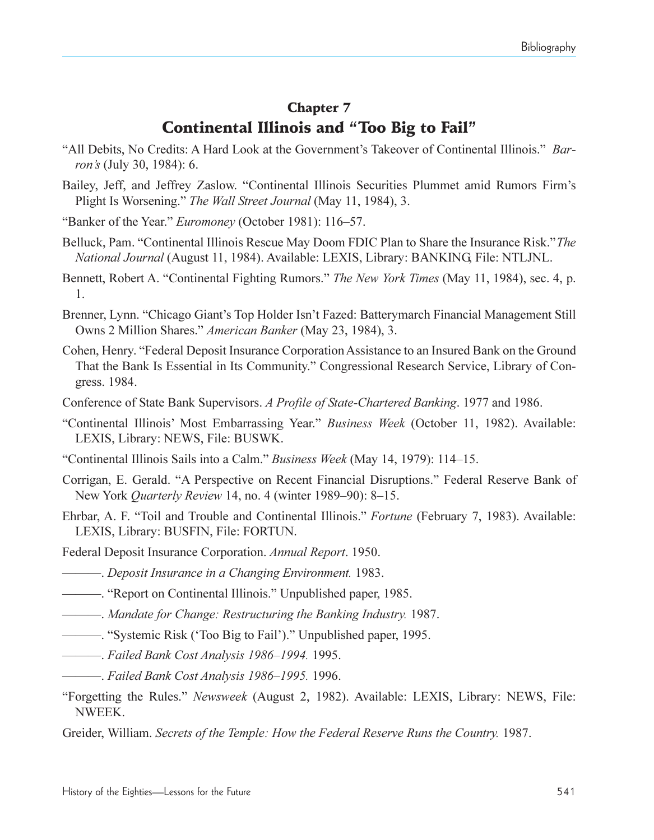### Chapter 7 Continental Illinois and "Too Big to Fail"

- "All Debits, No Credits: A Hard Look at the Government's Takeover of Continental Illinois." *Barrons* (July 30, 1984): 6.
- Bailey, Jeff, and Jeffrey Zaslow. "Continental Illinois Securities Plummet amid Rumors Firm's Plight Is Worsening. *The Wall Street Journal* (May 11, 1984), 3.
- "Banker of the Year." *Euromoney* (October 1981): 116–57.
- Belluck, Pam. Continental Illinois Rescue May Doom FDIC Plan to Share the Insurance Risk. *The National Journal* (August 11, 1984). Available: LEXIS, Library: BANKING, File: NTLJNL.
- Bennett, Robert A. "Continental Fighting Rumors." The New York Times (May 11, 1984), sec. 4, p. 1.
- Brenner, Lynn. "Chicago Giant's Top Holder Isn't Fazed: Batterymarch Financial Management Still Owns 2 Million Shares. *American Banker* (May 23, 1984), 3.
- Cohen, Henry. Federal Deposit Insurance Corporation Assistance to an Insured Bank on the Ground That the Bank Is Essential in Its Community. Congressional Research Service, Library of Congress. 1984.
- Conference of State Bank Supervisors. *A Profile of State-Chartered Banking*. 1977 and 1986.
- Continental Illinois Most Embarrassing Year. *Business Week* (October 11, 1982). Available: LEXIS, Library: NEWS, File: BUSWK.
- "Continental Illinois Sails into a Calm." *Business Week* (May 14, 1979): 114–15.
- Corrigan, E. Gerald. "A Perspective on Recent Financial Disruptions." Federal Reserve Bank of New York *Quarterly Review* 14, no. 4 (winter 1989–90): 8–15.
- Ehrbar, A. F. Toil and Trouble and Continental Illinois. *Fortune* (February 7, 1983). Available: LEXIS, Library: BUSFIN, File: FORTUN.
- Federal Deposit Insurance Corporation. *Annual Report*. 1950.
- . *Deposit Insurance in a Changing Environment.* 1983.
- . Report on Continental Illinois. Unpublished paper, 1985.
- . *Mandate for Change: Restructuring the Banking Industry.* 1987.
- . Systemic Risk (Too Big to Fail). Unpublished paper, 1995.
- **. Failed Bank Cost Analysis 1986–1994.** 1995.
- **. Failed Bank Cost Analysis 1986-1995. 1996.**
- Forgetting the Rules. *Newsweek* (August 2, 1982). Available: LEXIS, Library: NEWS, File: NWEEK.
- Greider, William. *Secrets of the Temple: How the Federal Reserve Runs the Country.* 1987.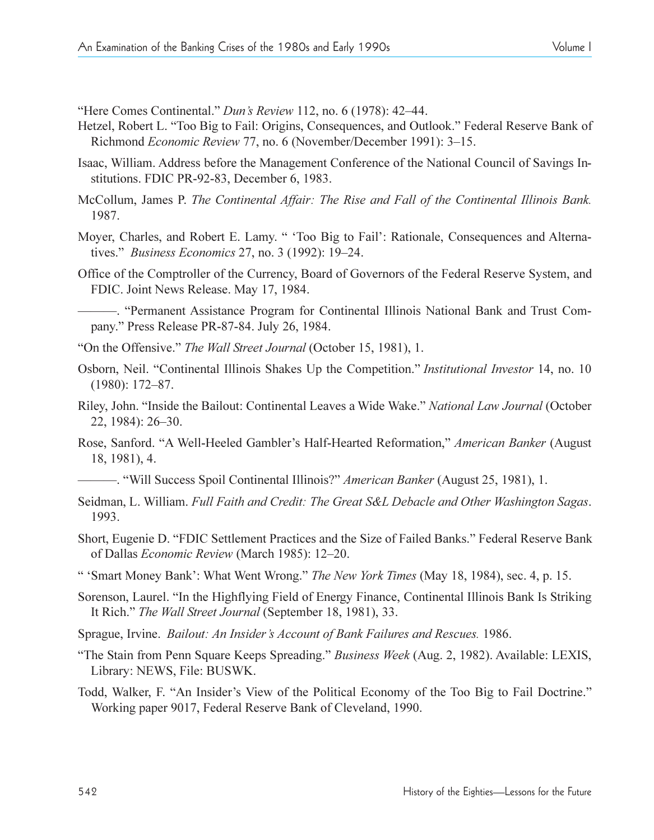"Here Comes Continental." *Dun's Review* 112, no. 6 (1978): 42–44.

- Hetzel, Robert L. "Too Big to Fail: Origins, Consequences, and Outlook." Federal Reserve Bank of Richmond *Economic Review* 77, no. 6 (November/December 1991): 3-15.
- Isaac, William. Address before the Management Conference of the National Council of Savings Institutions. FDIC PR-92-83, December 6, 1983.
- McCollum, James P. *The Continental Affair: The Rise and Fall of the Continental Illinois Bank.* 1987.
- Moyer, Charles, and Robert E. Lamy. " 'Too Big to Fail': Rationale, Consequences and Alternatives." *Business Economics* 27, no. 3 (1992): 19–24.
- Office of the Comptroller of the Currency, Board of Governors of the Federal Reserve System, and FDIC. Joint News Release. May 17, 1984.

 $-$ . "Permanent Assistance Program for Continental Illinois National Bank and Trust Company. Press Release PR-87-84. July 26, 1984.

- "On the Offensive." The Wall Street Journal (October 15, 1981), 1.
- Osborn, Neil. Continental Illinois Shakes Up the Competition. *Institutional Investor* 14, no. 10  $(1980): 172 - 87.$
- Riley, John. Inside the Bailout: Continental Leaves a Wide Wake. *National Law Journal* (October 22, 1984): 26-30.
- Rose, Sanford. "A Well-Heeled Gambler's Half-Hearted Reformation," *American Banker* (August 18, 1981), 4.
- . Will Success Spoil Continental Illinois? *American Banker* (August 25, 1981), 1.
- Seidman, L. William. *Full Faith and Credit: The Great S&L Debacle and Other Washington Sagas*. 1993.
- Short, Eugenie D. "FDIC Settlement Practices and the Size of Failed Banks." Federal Reserve Bank of Dallas *Economic Review* (March 1985): 12–20.
- Smart Money Bank: What Went Wrong. *The New York Times* (May 18, 1984), sec. 4, p. 15.
- Sorenson, Laurel. "In the Highflying Field of Energy Finance, Continental Illinois Bank Is Striking It Rich. *The Wall Street Journal* (September 18, 1981), 33.
- Sprague, Irvine. *Bailout: An Insider's Account of Bank Failures and Rescues.* 1986.
- The Stain from Penn Square Keeps Spreading. *Business Week* (Aug. 2, 1982). Available: LEXIS, Library: NEWS, File: BUSWK.
- Todd, Walker, F. "An Insider's View of the Political Economy of the Too Big to Fail Doctrine." Working paper 9017, Federal Reserve Bank of Cleveland, 1990.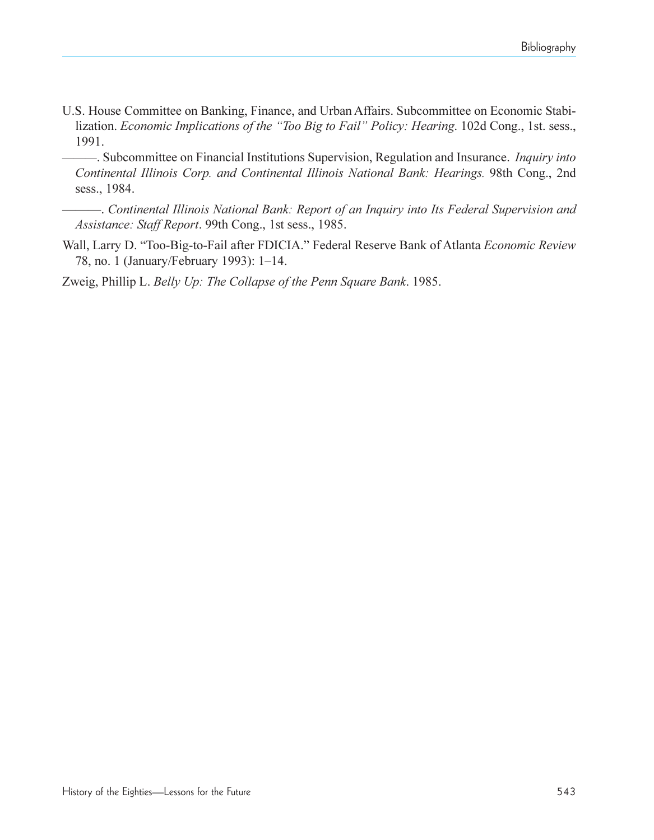U.S. House Committee on Banking, Finance, and Urban Affairs. Subcommittee on Economic Stabilization. *Economic Implications of the "Too Big to Fail" Policy: Hearing*. 102d Cong., 1st. sess., 1991.

. Subcommittee on Financial Institutions Supervision, Regulation and Insurance. *Inquiry into Continental Illinois Corp. and Continental Illinois National Bank: Hearings.* 98th Cong., 2nd sess., 1984.

. *Continental Illinois National Bank: Report of an Inquiry into Its Federal Supervision and Assistance: Staff Report*. 99th Cong., 1st sess., 1985.

Wall, Larry D. "Too-Big-to-Fail after FDICIA." Federal Reserve Bank of Atlanta *Economic Review* 78, no. 1 (January/February 1993): 1-14.

Zweig, Phillip L. *Belly Up: The Collapse of the Penn Square Bank*. 1985.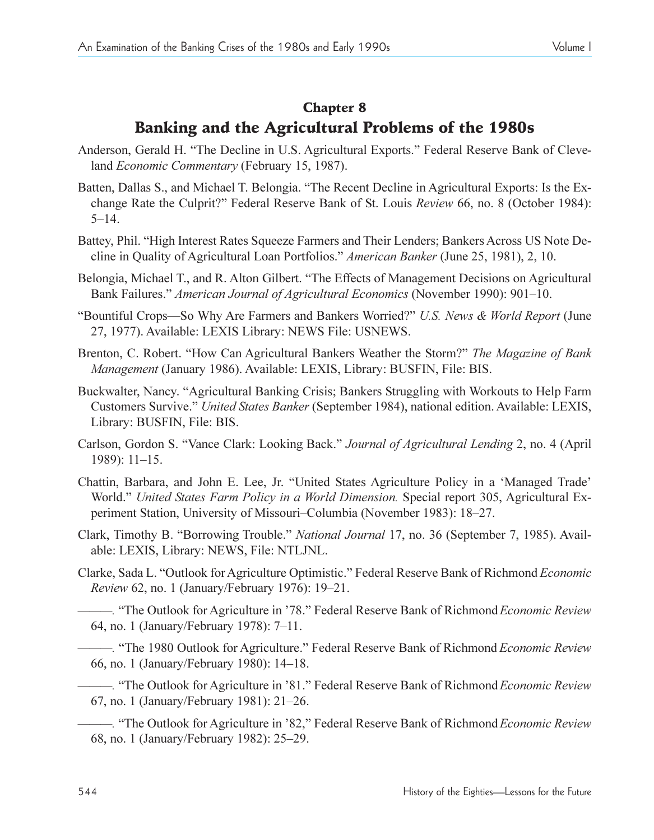#### Chapter 8

# Banking and the Agricultural Problems of the 1980s

- Anderson, Gerald H. "The Decline in U.S. Agricultural Exports." Federal Reserve Bank of Cleveland *Economic Commentary* (February 15, 1987).
- Batten, Dallas S., and Michael T. Belongia. "The Recent Decline in Agricultural Exports: Is the Exchange Rate the Culprit? Federal Reserve Bank of St. Louis *Review* 66, no. 8 (October 1984):  $5 - 14$
- Battey, Phil. "High Interest Rates Squeeze Farmers and Their Lenders; Bankers Across US Note Decline in Quality of Agricultural Loan Portfolios. *American Banker* (June 25, 1981), 2, 10.
- Belongia, Michael T., and R. Alton Gilbert. "The Effects of Management Decisions on Agricultural Bank Failures." *American Journal of Agricultural Economics* (November 1990): 901–10.
- "Bountiful Crops-So Why Are Farmers and Bankers Worried?" U.S. News & World Report (June 27, 1977). Available: LEXIS Library: NEWS File: USNEWS.
- Brenton, C. Robert. How Can Agricultural Bankers Weather the Storm? *The Magazine of Bank Management* (January 1986). Available: LEXIS, Library: BUSFIN, File: BIS.
- Buckwalter, Nancy. "Agricultural Banking Crisis; Bankers Struggling with Workouts to Help Farm Customers Survive. *United States Banker* (September 1984), national edition. Available: LEXIS, Library: BUSFIN, File: BIS.
- Carlson, Gordon S. Vance Clark: Looking Back. *Journal of Agricultural Lending* 2, no. 4 (April  $1989$ :  $11-15$ .
- Chattin, Barbara, and John E. Lee, Jr. "United States Agriculture Policy in a 'Managed Trade' World." United States Farm Policy in a World Dimension. Special report 305, Agricultural Experiment Station, University of Missouri-Columbia (November 1983): 18-27.
- Clark, Timothy B. "Borrowing Trouble." National Journal 17, no. 36 (September 7, 1985). Available: LEXIS, Library: NEWS, File: NTLJNL.
- Clarke, Sada L. "Outlook for Agriculture Optimistic." Federal Reserve Bank of Richmond *Economic Review* 62, no. 1 (January/February 1976): 19–21.

*.* The Outlook for Agriculture in 78. Federal Reserve Bank of Richmond*Economic Review* 64, no. 1 (January/February 1978): 7-11.

*.* The 1980 Outlook for Agriculture. Federal Reserve Bank of Richmond *Economic Review* 66, no. 1 (January/February 1980): 14–18.

*.* The Outlook for Agriculture in 81. Federal Reserve Bank of Richmond*Economic Review* 67, no. 1 (January/February 1981): 21–26.

*.* The Outlook for Agriculture in 82, Federal Reserve Bank of Richmond*Economic Review* 68, no. 1 (January/February 1982): 25–29.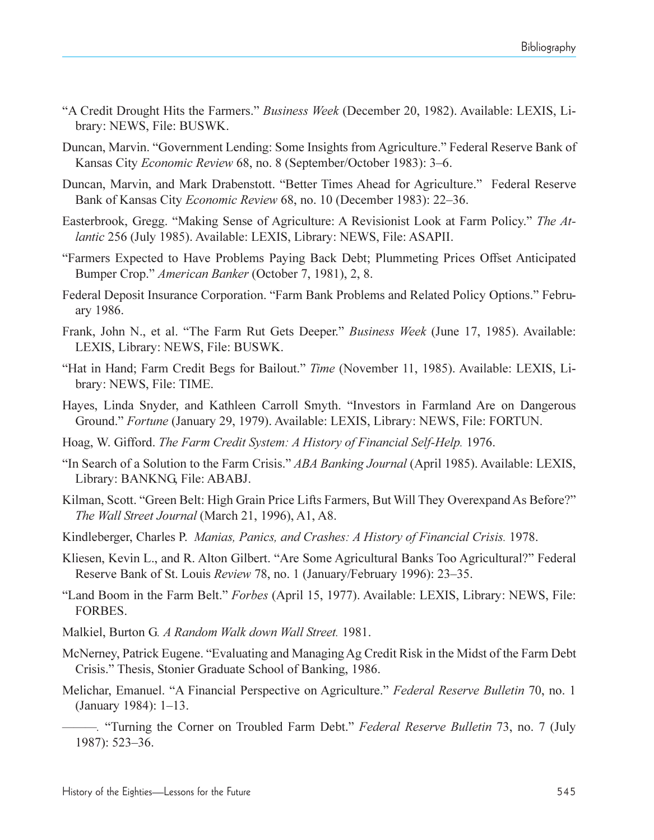- A Credit Drought Hits the Farmers. *Business Week* (December 20, 1982). Available: LEXIS, Library: NEWS, File: BUSWK.
- Duncan, Marvin. "Government Lending: Some Insights from Agriculture." Federal Reserve Bank of Kansas City *Economic Review* 68, no. 8 (September/October 1983): 3-6.
- Duncan, Marvin, and Mark Drabenstott. "Better Times Ahead for Agriculture." Federal Reserve Bank of Kansas City *Economic Review* 68, no. 10 (December 1983): 22–36.
- Easterbrook, Gregg. "Making Sense of Agriculture: A Revisionist Look at Farm Policy." *The Atlantic* 256 (July 1985). Available: LEXIS, Library: NEWS, File: ASAPII.
- Farmers Expected to Have Problems Paying Back Debt; Plummeting Prices Offset Anticipated Bumper Crop." *American Banker* (October 7, 1981), 2, 8.
- Federal Deposit Insurance Corporation. "Farm Bank Problems and Related Policy Options." February 1986.
- Frank, John N., et al. The Farm Rut Gets Deeper. *Business Week* (June 17, 1985). Available: LEXIS, Library: NEWS, File: BUSWK.
- "Hat in Hand; Farm Credit Begs for Bailout." *Time* (November 11, 1985). Available: LEXIS, Library: NEWS, File: TIME.
- Hayes, Linda Snyder, and Kathleen Carroll Smyth. "Investors in Farmland Are on Dangerous Ground. *Fortune* (January 29, 1979). Available: LEXIS, Library: NEWS, File: FORTUN.
- Hoag, W. Gifford. *The Farm Credit System: A History of Financial Self-Help.* 1976.
- In Search of a Solution to the Farm Crisis. *ABA Banking Journal* (April 1985). Available: LEXIS, Library: BANKNG, File: ABABJ.
- Kilman, Scott. "Green Belt: High Grain Price Lifts Farmers, But Will They Overexpand As Before?" *The Wall Street Journal* (March 21, 1996), A1, A8.
- Kindleberger, Charles P. *Manias, Panics, and Crashes: A History of Financial Crisis.* 1978.
- Kliesen, Kevin L., and R. Alton Gilbert. "Are Some Agricultural Banks Too Agricultural?" Federal Reserve Bank of St. Louis *Review* 78, no. 1 (January/February 1996): 23–35.
- Land Boom in the Farm Belt. *Forbes* (April 15, 1977). Available: LEXIS, Library: NEWS, File: FORBES.
- Malkiel, Burton G*. A Random Walk down Wall Street.* 1981.
- McNerney, Patrick Eugene. "Evaluating and Managing Ag Credit Risk in the Midst of the Farm Debt Crisis. Thesis, Stonier Graduate School of Banking, 1986.
- Melichar, Emanuel. "A Financial Perspective on Agriculture." Federal Reserve Bulletin 70, no. 1 (January 1984):  $1-13$ .
	- *.* Turning the Corner on Troubled Farm Debt. *Federal Reserve Bulletin* 73, no. 7 (July 1987): 523-36.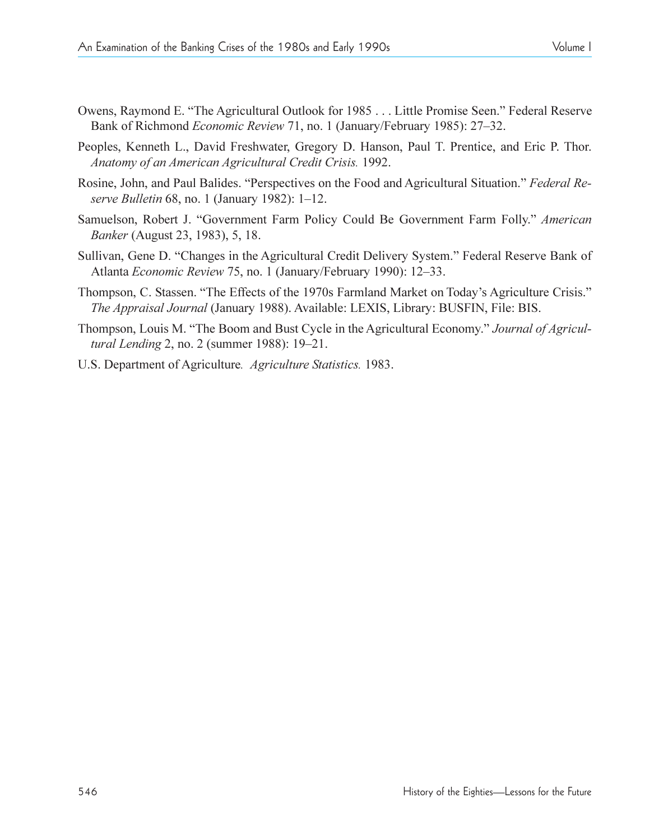- Owens, Raymond E. "The Agricultural Outlook for 1985 . . . Little Promise Seen." Federal Reserve Bank of Richmond *Economic Review* 71, no. 1 (January/February 1985): 27–32.
- Peoples, Kenneth L., David Freshwater, Gregory D. Hanson, Paul T. Prentice, and Eric P. Thor. *Anatomy of an American Agricultural Credit Crisis.* 1992.
- Rosine, John, and Paul Balides. "Perspectives on the Food and Agricultural Situation." Federal Re*serve Bulletin* 68, no. 1 (January 1982): 1–12.
- Samuelson, Robert J. "Government Farm Policy Could Be Government Farm Folly." American *Banker* (August 23, 1983), 5, 18.
- Sullivan, Gene D. "Changes in the Agricultural Credit Delivery System." Federal Reserve Bank of Atlanta *Economic Review 75*, no. 1 (January/February 1990): 12–33.
- Thompson, C. Stassen. "The Effects of the 1970s Farmland Market on Today's Agriculture Crisis." *The Appraisal Journal* (January 1988). Available: LEXIS, Library: BUSFIN, File: BIS.
- Thompson, Louis M. "The Boom and Bust Cycle in the Agricultural Economy." Journal of Agricul*tural Lending 2, no. 2 (summer 1988): 19–21.*
- U.S. Department of Agriculture*. Agriculture Statistics.* 1983.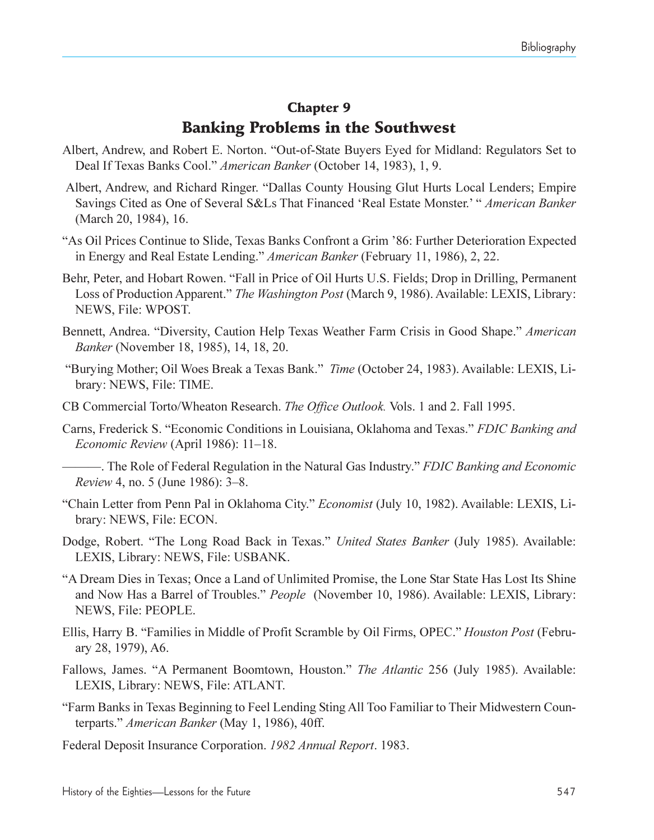#### Chapter 9

### Banking Problems in the Southwest

- Albert, Andrew, and Robert E. Norton. "Out-of-State Buyers Eyed for Midland: Regulators Set to Deal If Texas Banks Cool. *American Banker* (October 14, 1983), 1, 9.
- Albert, Andrew, and Richard Ringer. "Dallas County Housing Glut Hurts Local Lenders; Empire Savings Cited as One of Several S&Ls That Financed 'Real Estate Monster.' *" American Banker* (March 20, 1984), 16.
- As Oil Prices Continue to Slide, Texas Banks Confront a Grim 86: Further Deterioration Expected in Energy and Real Estate Lending. *American Banker* (February 11, 1986), 2, 22.
- Behr, Peter, and Hobart Rowen. "Fall in Price of Oil Hurts U.S. Fields; Drop in Drilling, Permanent Loss of Production Apparent." *The Washington Post* (March 9, 1986). Available: LEXIS, Library: NEWS, File: WPOST.
- Bennett, Andrea. "Diversity, Caution Help Texas Weather Farm Crisis in Good Shape." American *Banker* (November 18, 1985), 14, 18, 20.
- Burying Mother; Oil Woes Break a Texas Bank. *Time* (October 24, 1983). Available: LEXIS, Library: NEWS, File: TIME.
- CB Commercial Torto/Wheaton Research. *The Office Outlook.* Vols. 1 and 2. Fall 1995.
- Carns, Frederick S. Economic Conditions in Louisiana, Oklahoma and Texas. *FDIC Banking and Economic Review* (April 1986): 11–18.
	- . The Role of Federal Regulation in the Natural Gas Industry. *FDIC Banking and Economic Review* 4, no. 5 (June 1986): 3–8.
- Chain Letter from Penn Pal in Oklahoma City. *Economist* (July 10, 1982). Available: LEXIS, Library: NEWS, File: ECON.
- Dodge, Robert. "The Long Road Back in Texas." *United States Banker* (July 1985). Available: LEXIS, Library: NEWS, File: USBANK.
- A Dream Dies in Texas; Once a Land of Unlimited Promise, the Lone Star State Has Lost Its Shine and Now Has a Barrel of Troubles. *People* (November 10, 1986). Available: LEXIS, Library: NEWS, File: PEOPLE.
- Ellis, Harry B. Families in Middle of Profit Scramble by Oil Firms, OPEC. *Houston Post* (February 28, 1979), A6.
- Fallows, James. "A Permanent Boomtown, Houston." *The Atlantic* 256 (July 1985). Available: LEXIS, Library: NEWS, File: ATLANT.
- Farm Banks in Texas Beginning to Feel Lending Sting All Too Familiar to Their Midwestern Counterparts. *American Banker* (May 1, 1986), 40ff.
- Federal Deposit Insurance Corporation. *1982 Annual Report*. 1983.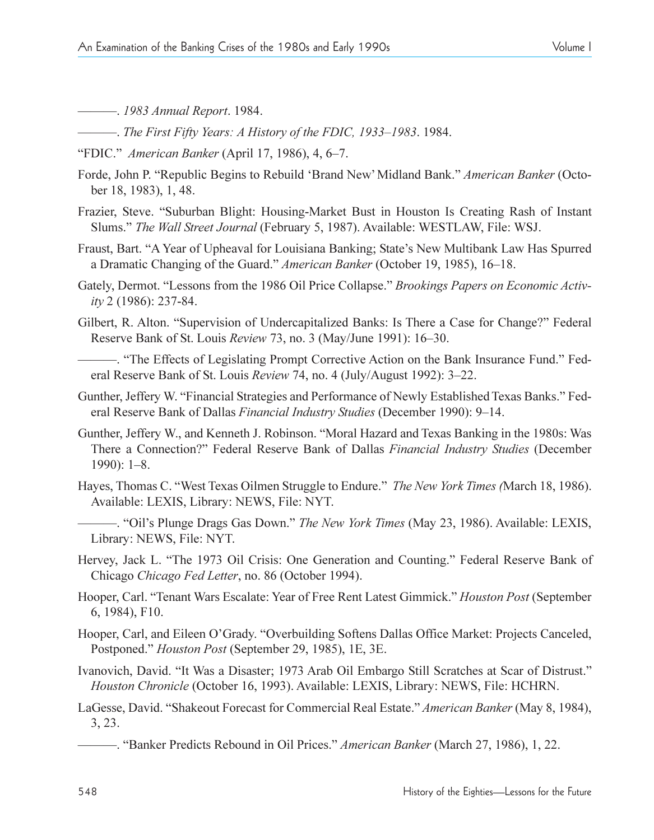. *1983 Annual Report*. 1984.

- $-$ . *The First Fifty Years: A History of the FDIC, 1933–1983.* 1984.
- "FDIC." *American Banker* (April 17, 1986), 4, 6–7.
- Forde, John P. "Republic Begins to Rebuild 'Brand New' Midland Bank." *American Banker* (October 18, 1983), 1, 48.
- Frazier, Steve. "Suburban Blight: Housing-Market Bust in Houston Is Creating Rash of Instant Slums. *The Wall Street Journal* (February 5, 1987). Available: WESTLAW, File: WSJ.
- Fraust, Bart. "A Year of Upheaval for Louisiana Banking; State's New Multibank Law Has Spurred a Dramatic Changing of the Guard." *American Banker* (October 19, 1985), 16–18.
- Gately, Dermot. "Lessons from the 1986 Oil Price Collapse." *Brookings Papers on Economic Activity* 2 (1986): 237-84.
- Gilbert, R. Alton. "Supervision of Undercapitalized Banks: Is There a Case for Change?" Federal Reserve Bank of St. Louis *Review* 73, no. 3 (May/June 1991): 16–30.
- . The Effects of Legislating Prompt Corrective Action on the Bank Insurance Fund. Federal Reserve Bank of St. Louis *Review* 74, no. 4 (July/August 1992): 3-22.
- Gunther, Jeffery W. "Financial Strategies and Performance of Newly Established Texas Banks." Federal Reserve Bank of Dallas *Financial Industry Studies* (December 1990): 9–14.
- Gunther, Jeffery W., and Kenneth J. Robinson. "Moral Hazard and Texas Banking in the 1980s: Was There a Connection? Federal Reserve Bank of Dallas *Financial Industry Studies* (December  $1990$ : 1-8.
- Hayes, Thomas C. West Texas Oilmen Struggle to Endure. *The New York Times (*March 18, 1986). Available: LEXIS, Library: NEWS, File: NYT.
	- -. "Oil's Plunge Drags Gas Down." The New York Times (May 23, 1986). Available: LEXIS, Library: NEWS, File: NYT.
- Hervey, Jack L. "The 1973 Oil Crisis: One Generation and Counting." Federal Reserve Bank of Chicago *Chicago Fed Letter*, no. 86 (October 1994).
- Hooper, Carl. Tenant Wars Escalate: Year of Free Rent Latest Gimmick. *Houston Post* (September 6, 1984), F10.
- Hooper, Carl, and Eileen O'Grady. "Overbuilding Softens Dallas Office Market: Projects Canceled, Postponed. *Houston Post* (September 29, 1985), 1E, 3E.
- Ivanovich, David. "It Was a Disaster; 1973 Arab Oil Embargo Still Scratches at Scar of Distrust." *Houston Chronicle* (October 16, 1993). Available: LEXIS, Library: NEWS, File: HCHRN.
- LaGesse, David. "Shakeout Forecast for Commercial Real Estate." *American Banker* (May 8, 1984), 3, 23.
	- . Banker Predicts Rebound in Oil Prices. *American Banker* (March 27, 1986), 1, 22.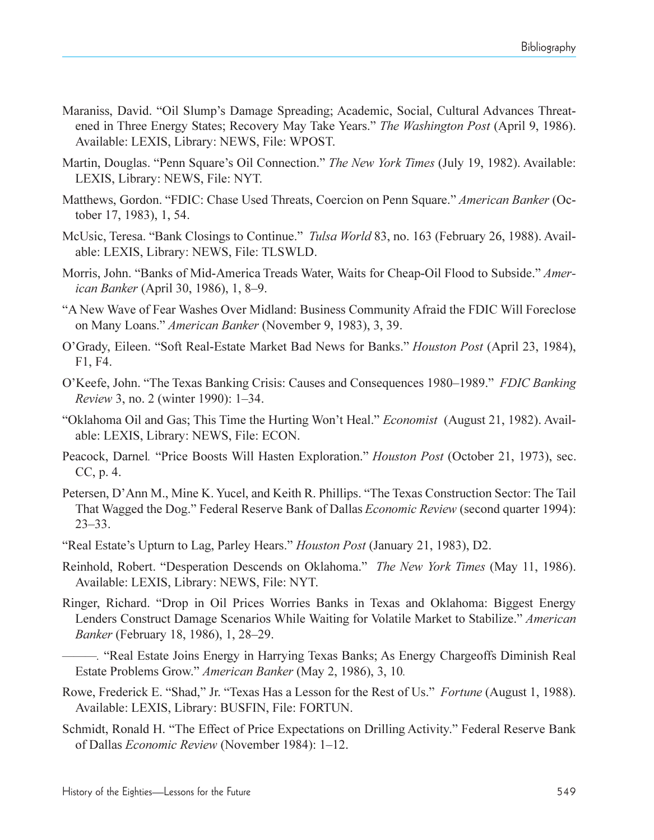- Maraniss, David. "Oil Slump's Damage Spreading; Academic, Social, Cultural Advances Threatened in Three Energy States; Recovery May Take Years. *The Washington Post* (April 9, 1986). Available: LEXIS, Library: NEWS, File: WPOST.
- Martin, Douglas. "Penn Square's Oil Connection." The New York Times (July 19, 1982). Available: LEXIS, Library: NEWS, File: NYT.
- Matthews, Gordon. FDIC: Chase Used Threats, Coercion on Penn Square. *American Banker* (October 17, 1983), 1, 54.
- McUsic, Teresa. "Bank Closings to Continue." *Tulsa World* 83, no. 163 (February 26, 1988). Available: LEXIS, Library: NEWS, File: TLSWLD.
- Morris, John. "Banks of Mid-America Treads Water, Waits for Cheap-Oil Flood to Subside." *American Banker* (April 30, 1986), 1, 8–9.
- A New Wave of Fear Washes Over Midland: Business Community Afraid the FDIC Will Foreclose on Many Loans. *American Banker* (November 9, 1983), 3, 39.
- O'Grady, Eileen. "Soft Real-Estate Market Bad News for Banks." *Houston Post* (April 23, 1984), F1, F4.
- O'Keefe, John. "The Texas Banking Crisis: Causes and Consequences 1980–1989." *FDIC Banking Review 3, no. 2 (winter 1990): 1–34.*
- "Oklahoma Oil and Gas; This Time the Hurting Won't Heal." *Economist* (August 21, 1982). Available: LEXIS, Library: NEWS, File: ECON.
- Peacock, Darnel*.* Price Boosts Will Hasten Exploration. *Houston Post* (October 21, 1973), sec. CC, p. 4.
- Petersen, D'Ann M., Mine K. Yucel, and Keith R. Phillips. "The Texas Construction Sector: The Tail That Wagged the Dog." Federal Reserve Bank of Dallas *Economic Review* (second quarter 1994):  $23 - 33$ .
- Real Estates Upturn to Lag, Parley Hears. *Houston Post* (January 21, 1983), D2.
- Reinhold, Robert. Desperation Descends on Oklahoma. *The New York Times* (May 11, 1986). Available: LEXIS, Library: NEWS, File: NYT.
- Ringer, Richard. "Drop in Oil Prices Worries Banks in Texas and Oklahoma: Biggest Energy Lenders Construct Damage Scenarios While Waiting for Volatile Market to Stabilize. *American Banker* (February 18, 1986), 1, 28–29.
- –. "Real Estate Joins Energy in Harrying Texas Banks; As Energy Chargeoffs Diminish Real Estate Problems Grow. *American Banker* (May 2, 1986), 3, 10*.*
- Rowe, Frederick E. "Shad," Jr. "Texas Has a Lesson for the Rest of Us." *Fortune* (August 1, 1988). Available: LEXIS, Library: BUSFIN, File: FORTUN.
- Schmidt, Ronald H. "The Effect of Price Expectations on Drilling Activity." Federal Reserve Bank of Dallas *Economic Review* (November 1984): 1–12.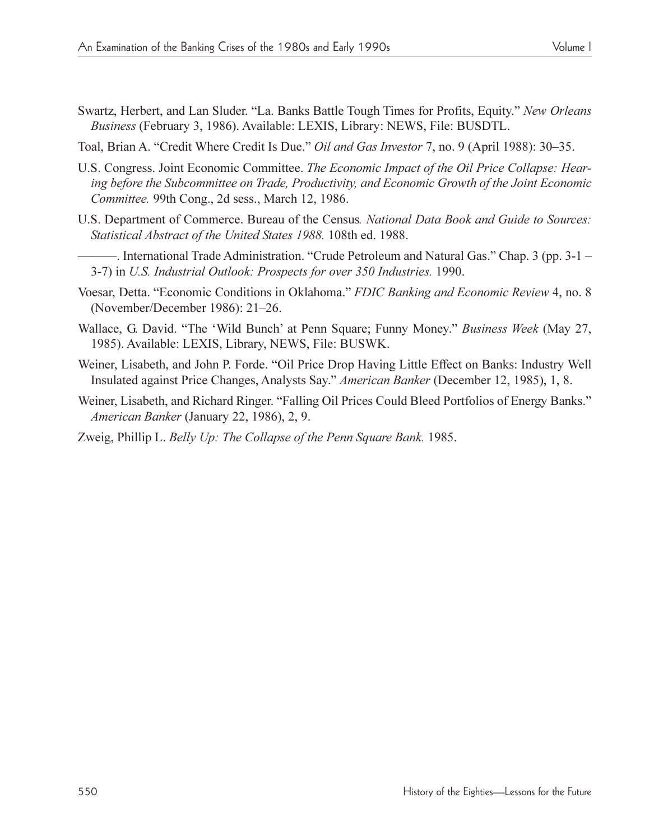- Swartz, Herbert, and Lan Sluder. "La. Banks Battle Tough Times for Profits, Equity." New Orleans *Business* (February 3, 1986). Available: LEXIS, Library: NEWS, File: BUSDTL.
- Toal, Brian A. "Credit Where Credit Is Due." *Oil and Gas Investor* 7, no. 9 (April 1988): 30–35.
- U.S. Congress. Joint Economic Committee. *The Economic Impact of the Oil Price Collapse: Hearing before the Subcommittee on Trade, Productivity, and Economic Growth of the Joint Economic Committee.* 99th Cong., 2d sess., March 12, 1986.
- U.S. Department of Commerce. Bureau of the Census*. National Data Book and Guide to Sources: Statistical Abstract of the United States 1988.* 108th ed. 1988.
- -. International Trade Administration. "Crude Petroleum and Natural Gas." Chap. 3 (pp. 3-1 -3-7) in *U.S. Industrial Outlook: Prospects for over 350 Industries.* 1990.
- Voesar, Detta. Economic Conditions in Oklahoma. *FDIC Banking and Economic Review* 4, no. 8 (November/December 1986): 21-26.
- Wallace, G. David. "The 'Wild Bunch' at Penn Square; Funny Money." Business Week (May 27, 1985). Available: LEXIS, Library, NEWS, File: BUSWK.
- Weiner, Lisabeth, and John P. Forde. "Oil Price Drop Having Little Effect on Banks: Industry Well Insulated against Price Changes, Analysts Say. *American Banker* (December 12, 1985), 1, 8.
- Weiner, Lisabeth, and Richard Ringer. "Falling Oil Prices Could Bleed Portfolios of Energy Banks." *American Banker* (January 22, 1986), 2, 9.
- Zweig, Phillip L. *Belly Up: The Collapse of the Penn Square Bank.* 1985.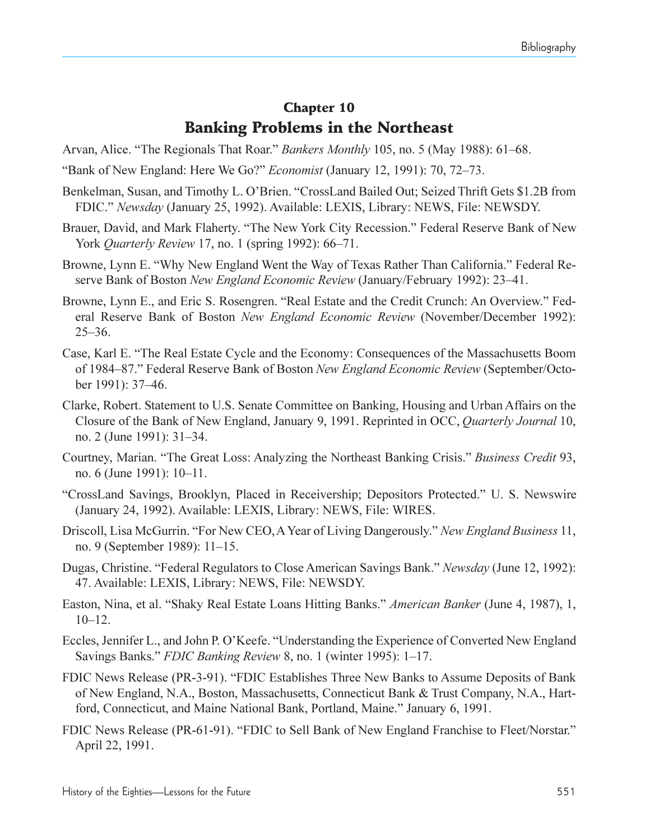# Chapter 10 Banking Problems in the Northeast

Arvan, Alice. "The Regionals That Roar." *Bankers Monthly* 105, no. 5 (May 1988): 61–68.

Bank of New England: Here We Go? *Economist* (January 12, 1991): 70, 7273.

- Benkelman, Susan, and Timothy L. O'Brien. "CrossLand Bailed Out; Seized Thrift Gets \$1.2B from FDIC. *Newsday* (January 25, 1992). Available: LEXIS, Library: NEWS, File: NEWSDY.
- Brauer, David, and Mark Flaherty. "The New York City Recession." Federal Reserve Bank of New York *Quarterly Review* 17, no. 1 (spring 1992): 66–71.
- Browne, Lynn E. "Why New England Went the Way of Texas Rather Than California." Federal Reserve Bank of Boston *New England Economic Review* (January/February 1992): 23–41.
- Browne, Lynn E., and Eric S. Rosengren. "Real Estate and the Credit Crunch: An Overview." Federal Reserve Bank of Boston *New England Economic Review* (November/December 1992): 25-36.
- Case, Karl E. The Real Estate Cycle and the Economy: Consequences of the Massachusetts Boom of 1984–87." Federal Reserve Bank of Boston *New England Economic Review* (September/October 1991): 37-46.
- Clarke, Robert. Statement to U.S. Senate Committee on Banking, Housing and Urban Affairs on the Closure of the Bank of New England, January 9, 1991. Reprinted in OCC, *Quarterly Journal* 10, no. 2 (June 1991): 31–34.
- Courtney, Marian. The Great Loss: Analyzing the Northeast Banking Crisis. *Business Credit* 93, no. 6 (June 1991): 10–11.
- "CrossLand Savings, Brooklyn, Placed in Receivership; Depositors Protected." U. S. Newswire (January 24, 1992). Available: LEXIS, Library: NEWS, File: WIRES.
- Driscoll, Lisa McGurrin. "For New CEO, A Year of Living Dangerously." New England Business 11, no. 9 (September 1989): 11–15.
- Dugas, Christine. Federal Regulators to Close American Savings Bank. *Newsday* (June 12, 1992): 47. Available: LEXIS, Library: NEWS, File: NEWSDY.
- Easton, Nina, et al. "Shaky Real Estate Loans Hitting Banks." *American Banker* (June 4, 1987), 1,  $10-12.$
- Eccles, Jennifer L., and John P. O'Keefe. "Understanding the Experience of Converted New England Savings Banks." FDIC Banking Review 8, no. 1 (winter 1995): 1–17.
- FDIC News Release (PR-3-91). "FDIC Establishes Three New Banks to Assume Deposits of Bank of New England, N.A., Boston, Massachusetts, Connecticut Bank & Trust Company, N.A., Hartford, Connecticut, and Maine National Bank, Portland, Maine." January 6, 1991.
- FDIC News Release (PR-61-91). "FDIC to Sell Bank of New England Franchise to Fleet/Norstar." April 22, 1991.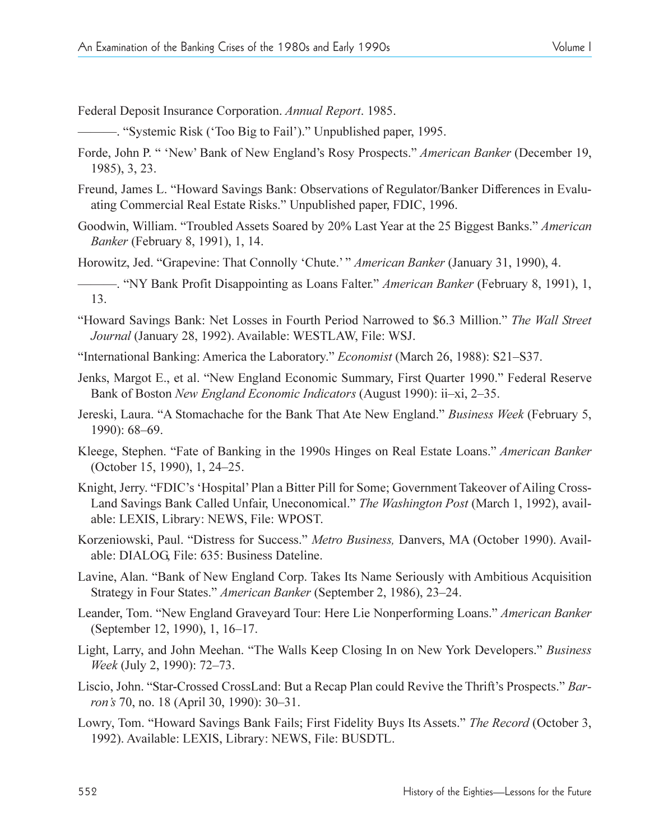Federal Deposit Insurance Corporation. *Annual Report*. 1985.

- . Systemic Risk (Too Big to Fail). Unpublished paper, 1995.
- Forde, John P. " 'New' Bank of New England's Rosy Prospects." American Banker (December 19, 1985), 3, 23.
- Freund, James L. Howard Savings Bank: Observations of Regulator/Banker Differences in Evaluating Commercial Real Estate Risks. Unpublished paper, FDIC, 1996.
- Goodwin, William. Troubled Assets Soared by 20% Last Year at the 25 Biggest Banks. *American Banker* (February 8, 1991), 1, 14.
- Horowitz, Jed. "Grapevine: That Connolly 'Chute.' " American Banker (January 31, 1990), 4.
- . NY Bank Profit Disappointing as Loans Falter. *American Banker* (February 8, 1991), 1, 13.
- Howard Savings Bank: Net Losses in Fourth Period Narrowed to \$6.3 Million. *The Wall Street Journal* (January 28, 1992). Available: WESTLAW, File: WSJ.
- "International Banking: America the Laboratory." *Economist* (March 26, 1988): S21–S37.
- Jenks, Margot E., et al. "New England Economic Summary, First Quarter 1990." Federal Reserve Bank of Boston *New England Economic Indicators* (August 1990): ii-xi, 2-35.
- Jereski, Laura. "A Stomachache for the Bank That Ate New England." *Business Week* (February 5, 1990): 68–69.
- Kleege, Stephen. Fate of Banking in the 1990s Hinges on Real Estate Loans. *American Banker* (October 15, 1990), 1, 24–25.
- Knight, Jerry. "FDIC's 'Hospital' Plan a Bitter Pill for Some; Government Takeover of Ailing Cross-Land Savings Bank Called Unfair, Uneconomical. *The Washington Post* (March 1, 1992), available: LEXIS, Library: NEWS, File: WPOST.
- Korzeniowski, Paul. "Distress for Success." Metro Business, Danvers, MA (October 1990). Available: DIALOG, File: 635: Business Dateline.
- Lavine, Alan. "Bank of New England Corp. Takes Its Name Seriously with Ambitious Acquisition Strategy in Four States." American Banker (September 2, 1986), 23-24.
- Leander, Tom. "New England Graveyard Tour: Here Lie Nonperforming Loans." American Banker (September 12, 1990), 1, 16–17.
- Light, Larry, and John Meehan. "The Walls Keep Closing In on New York Developers." Business *Week* (July 2, 1990): 72-73.
- Liscio, John. "Star-Crossed CrossLand: But a Recap Plan could Revive the Thrift's Prospects." *Barron's* 70, no. 18 (April 30, 1990): 30-31.
- Lowry, Tom. "Howard Savings Bank Fails; First Fidelity Buys Its Assets." The Record (October 3, 1992). Available: LEXIS, Library: NEWS, File: BUSDTL.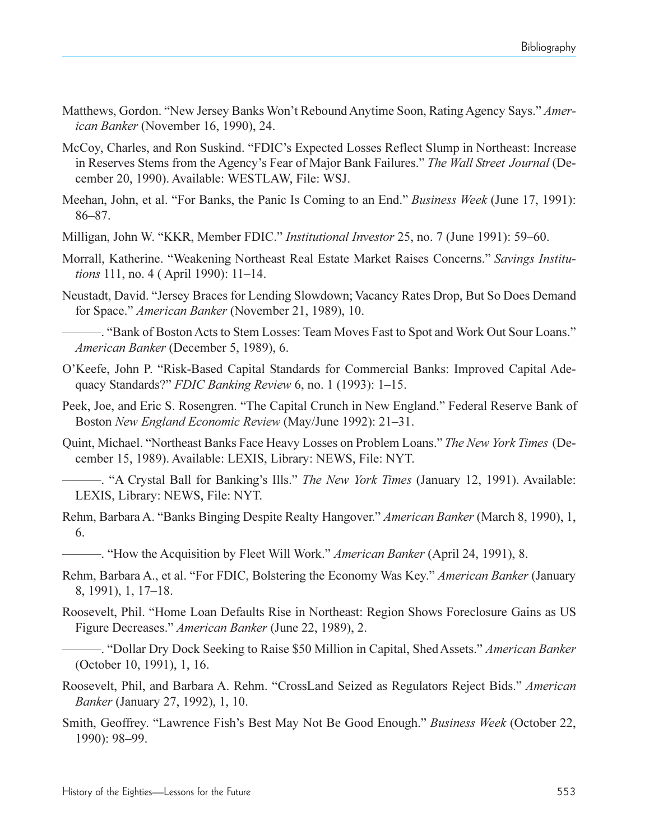- Matthews, Gordon. "New Jersey Banks Won't Rebound Anytime Soon, Rating Agency Says." Amer*ican Banker* (November 16, 1990), 24.
- McCoy, Charles, and Ron Suskind. "FDIC's Expected Losses Reflect Slump in Northeast: Increase in Reserves Stems from the Agency's Fear of Major Bank Failures." The Wall Street Journal (December 20, 1990). Available: WESTLAW, File: WSJ.
- Meehan, John, et al. "For Banks, the Panic Is Coming to an End." *Business Week* (June 17, 1991): 86-87.
- Milligan, John W. "KKR, Member FDIC." *Institutional Investor* 25, no. 7 (June 1991): 59–60.
- Morrall, Katherine. Weakening Northeast Real Estate Market Raises Concerns. *Savings Institutions* 111, no. 4 (April 1990): 11–14.
- Neustadt, David. "Jersey Braces for Lending Slowdown; Vacancy Rates Drop, But So Does Demand for Space. *American Banker* (November 21, 1989), 10.

-. "Bank of Boston Acts to Stem Losses: Team Moves Fast to Spot and Work Out Sour Loans." *American Banker* (December 5, 1989), 6.

- O'Keefe, John P. "Risk-Based Capital Standards for Commercial Banks: Improved Capital Adequacy Standards?" *FDIC Banking Review* 6, no. 1 (1993): 1-15.
- Peek, Joe, and Eric S. Rosengren. "The Capital Crunch in New England." Federal Reserve Bank of Boston *New England Economic Review* (May/June 1992): 21–31.
- Quint, Michael. Northeast Banks Face Heavy Losses on Problem Loans. *The New York Times* (December 15, 1989). Available: LEXIS, Library: NEWS, File: NYT.
- -. "A Crystal Ball for Banking's Ills." *The New York Times* (January 12, 1991). Available: LEXIS, Library: NEWS, File: NYT.
- Rehm, Barbara A. "Banks Binging Despite Realty Hangover." *American Banker* (March 8, 1990), 1, 6.
- . How the Acquisition by Fleet Will Work. *American Banker* (April 24, 1991), 8.
- Rehm, Barbara A., et al. "For FDIC, Bolstering the Economy Was Key." American Banker (January 8, 1991), 1, 17–18.
- Roosevelt, Phil. "Home Loan Defaults Rise in Northeast: Region Shows Foreclosure Gains as US Figure Decreases. *American Banker* (June 22, 1989), 2.
- .. "Dollar Dry Dock Seeking to Raise \$50 Million in Capital, Shed Assets." *American Banker* (October 10, 1991), 1, 16.
- Roosevelt, Phil, and Barbara A. Rehm. "CrossLand Seized as Regulators Reject Bids." American *Banker* (January 27, 1992), 1, 10.
- Smith, Geoffrey. "Lawrence Fish's Best May Not Be Good Enough." Business Week (October 22, 1990): 98-99.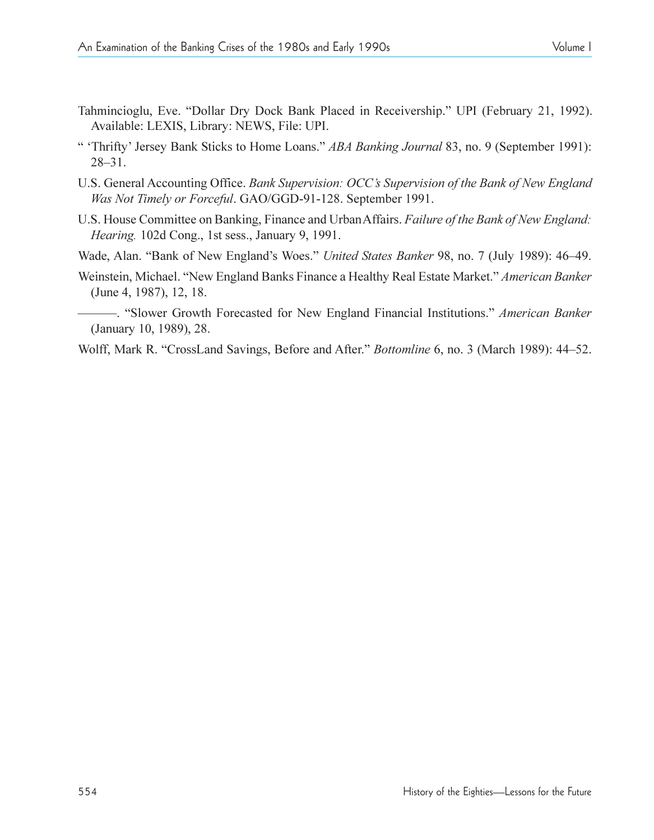- Tahmincioglu, Eve. "Dollar Dry Dock Bank Placed in Receivership." UPI (February 21, 1992). Available: LEXIS, Library: NEWS, File: UPI.
- " 'Thrifty' Jersey Bank Sticks to Home Loans." *ABA Banking Journal* 83, no. 9 (September 1991):  $28 - 31$ .
- U.S. General Accounting Office. *Bank Supervision: OCCs Supervision of the Bank of New England Was Not Timely or Forceful*. GAO/GGD-91-128. September 1991.
- U.S. House Committee on Banking, Finance and Urban Affairs. *Failure of the Bank of New England: Hearing.* 102d Cong., 1st sess., January 9, 1991.
- Wade, Alan. "Bank of New England's Woes." United States Banker 98, no. 7 (July 1989): 46-49.
- Weinstein, Michael. "New England Banks Finance a Healthy Real Estate Market." *American Banker* (June 4, 1987), 12, 18.
- . Slower Growth Forecasted for New England Financial Institutions. *American Banker* (January 10, 1989), 28.
- Wolff, Mark R. "CrossLand Savings, Before and After." *Bottomline* 6, no. 3 (March 1989): 44–52.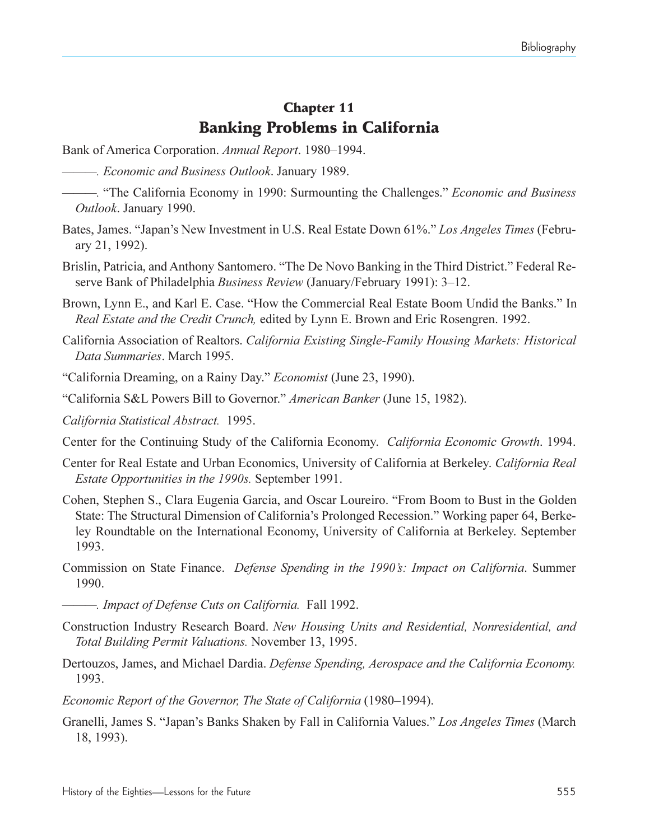## Chapter 11 Banking Problems in California

- Bank of America Corporation. *Annual Report*. 1980–1994.
- *. Economic and Business Outlook*. January 1989.
- *.* The California Economy in 1990: Surmounting the Challenges. *Economic and Business Outlook*. January 1990.
- Bates, James. "Japan's New Investment in U.S. Real Estate Down 61%." Los Angeles Times (February 21, 1992).
- Brislin, Patricia, and Anthony Santomero. "The De Novo Banking in the Third District." Federal Reserve Bank of Philadelphia *Business Review* (January/February 1991): 3-12.
- Brown, Lynn E., and Karl E. Case. "How the Commercial Real Estate Boom Undid the Banks." In *Real Estate and the Credit Crunch,* edited by Lynn E. Brown and Eric Rosengren. 1992.
- California Association of Realtors. *California Existing Single-Family Housing Markets: Historical Data Summaries*. March 1995.
- California Dreaming, on a Rainy Day. *Economist* (June 23, 1990).
- California S&L Powers Bill to Governor. *American Banker* (June 15, 1982).
- *California Statistical Abstract.* 1995.
- Center for the Continuing Study of the California Economy. *California Economic Growth*. 1994.
- Center for Real Estate and Urban Economics, University of California at Berkeley. *California Real Estate Opportunities in the 1990s.* September 1991.
- Cohen, Stephen S., Clara Eugenia Garcia, and Oscar Loureiro. From Boom to Bust in the Golden State: The Structural Dimension of California's Prolonged Recession." Working paper 64, Berkeley Roundtable on the International Economy, University of California at Berkeley. September 1993.
- Commission on State Finance. *Defense Spending in the 1990s: Impact on California*. Summer 1990.
- *. Impact of Defense Cuts on California.* Fall 1992.
- Construction Industry Research Board. *New Housing Units and Residential, Nonresidential, and Total Building Permit Valuations.* November 13, 1995.
- Dertouzos, James, and Michael Dardia. *Defense Spending, Aerospace and the California Economy.* 1993.
- *Economic Report of the Governor, The State of California* (1980–1994).
- Granelli, James S. "Japan's Banks Shaken by Fall in California Values." Los Angeles Times (March 18, 1993).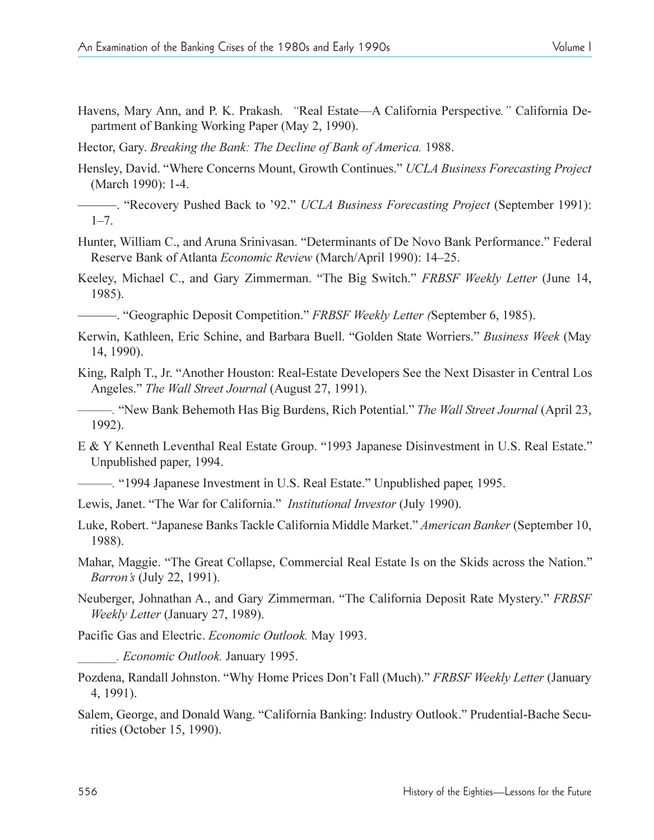Havens, Mary Ann, and P. K. Prakash. "Real Estate—A California Perspective." California Department of Banking Working Paper (May 2, 1990).

Hector, Gary. *Breaking the Bank: The Decline of Bank of America.* 1988.

Hensley, David. Where Concerns Mount, Growth Continues. *UCLA Business Forecasting Project* (March 1990): 1-4.

. Recovery Pushed Back to 92. *UCLA Business Forecasting Project* (September 1991):  $1 - 7$ .

- Hunter, William C., and Aruna Srinivasan. "Determinants of De Novo Bank Performance." Federal Reserve Bank of Atlanta *Economic Review* (March/April 1990): 14–25.
- Keeley, Michael C., and Gary Zimmerman. "The Big Switch." FRBSF Weekly Letter (June 14, 1985).

. Geographic Deposit Competition. *FRBSF Weekly Letter (*September 6, 1985).

- Kerwin, Kathleen, Eric Schine, and Barbara Buell. "Golden State Worriers." Business Week (May 14, 1990).
- King, Ralph T., Jr. "Another Houston: Real-Estate Developers See the Next Disaster in Central Los Angeles." *The Wall Street Journal* (August 27, 1991).

*.* New Bank Behemoth Has Big Burdens, Rich Potential. *The Wall Street Journal* (April 23, 1992).

- E & Y Kenneth Leventhal Real Estate Group. "1993 Japanese Disinvestment in U.S. Real Estate." Unpublished paper, 1994.
	- <sup>2</sup>. <sup>1994</sup> Japanese Investment in U.S. Real Estate." Unpublished paper, 1995.
- Lewis, Janet. "The War for California." *Institutional Investor* (July 1990).
- Luke, Robert. "Japanese Banks Tackle California Middle Market." American Banker (September 10, 1988).

Mahar, Maggie. "The Great Collapse, Commercial Real Estate Is on the Skids across the Nation." *Barron's* (July 22, 1991).

Neuberger, Johnathan A., and Gary Zimmerman. The California Deposit Rate Mystery. *FRBSF Weekly Letter* (January 27, 1989).

Pacific Gas and Electric. *Economic Outlook.* May 1993.

*\_\_\_\_\_\_. Economic Outlook.* January 1995.

- Pozdena, Randall Johnston. Why Home Prices Dont Fall (Much). *FRBSF Weekly Letter* (January 4, 1991).
- Salem, George, and Donald Wang. "California Banking: Industry Outlook." Prudential-Bache Securities (October 15, 1990).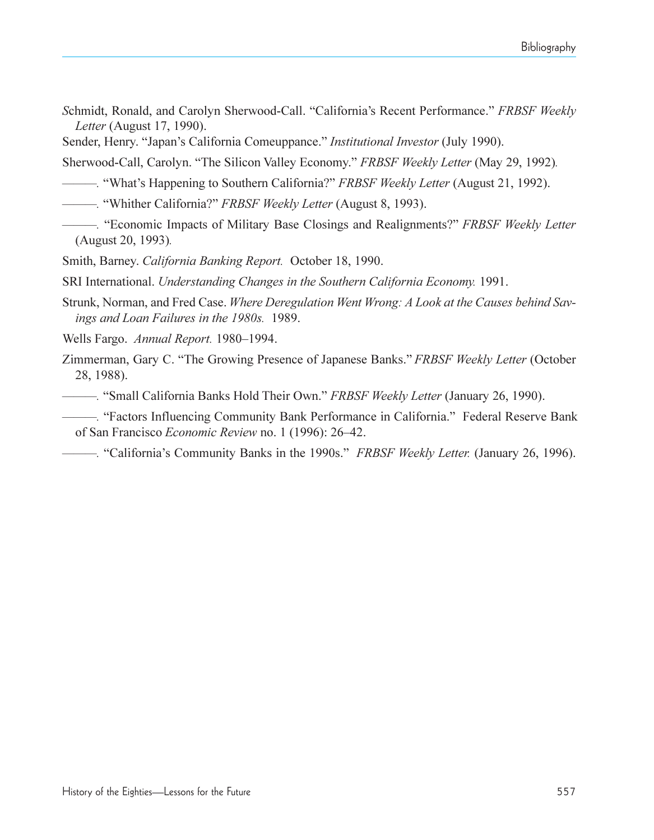- *Schmidt, Ronald, and Carolyn Sherwood-Call. "California's Recent Performance." FRBSF Weekly Letter* (August 17, 1990).
- Sender, Henry. "Japan's California Comeuppance." *Institutional Investor* (July 1990).

Sherwood-Call, Carolyn. "The Silicon Valley Economy." FRBSF Weekly Letter (May 29, 1992).

- **.** "What's Happening to Southern California?" *FRBSF Weekly Letter* (August 21, 1992).
- *.* Whither California? *FRBSF Weekly Letter* (August 8, 1993).
- *.* Economic Impacts of Military Base Closings and Realignments? *FRBSF Weekly Letter* (August 20, 1993)*.*
- Smith, Barney. *California Banking Report.* October 18, 1990.
- SRI International. *Understanding Changes in the Southern California Economy.* 1991.
- Strunk, Norman, and Fred Case. *Where Deregulation Went Wrong: A Look at the Causes behind Savings and Loan Failures in the 1980s.* 1989.
- Wells Fargo. *Annual Report.* 1980–1994.
- Zimmerman, Gary C. The Growing Presence of Japanese Banks. *FRBSF Weekly Letter* (October 28, 1988).
- **. Small California Banks Hold Their Own." FRBSF Weekly Letter (January 26, 1990).**
- *.* Factors Influencing Community Bank Performance in California. Federal Reserve Bank of San Francisco *Economic Review* no. 1 (1996): 26–42.
- *.* Californias Community Banks in the 1990s. *FRBSF Weekly Letter.* (January 26, 1996).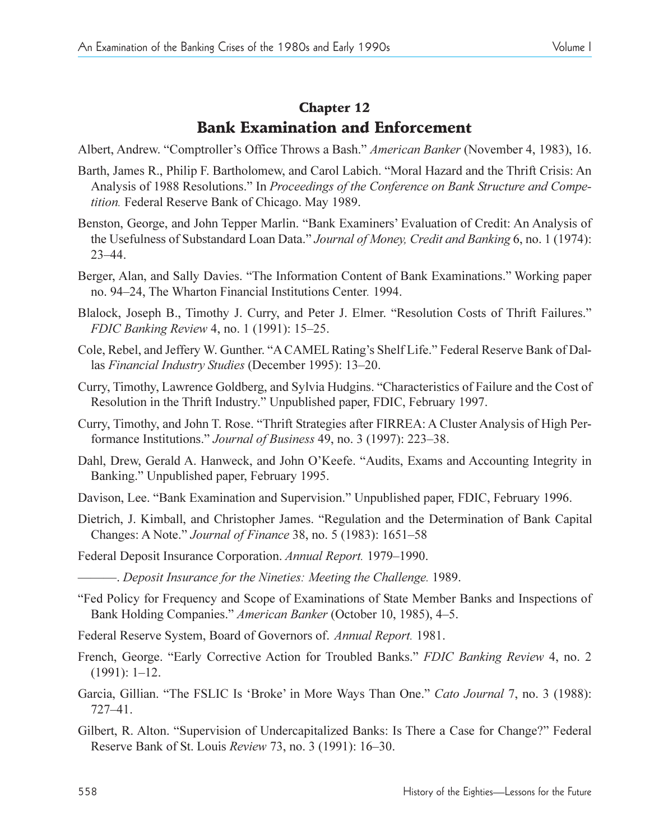# Chapter 12 Bank Examination and Enforcement

- Albert, Andrew. "Comptroller's Office Throws a Bash." American Banker (November 4, 1983), 16.
- Barth, James R., Philip F. Bartholomew, and Carol Labich. "Moral Hazard and the Thrift Crisis: An Analysis of 1988 Resolutions." In *Proceedings of the Conference on Bank Structure and Competition.* Federal Reserve Bank of Chicago. May 1989.
- Benston, George, and John Tepper Marlin. "Bank Examiners' Evaluation of Credit: An Analysis of the Usefulness of Substandard Loan Data. *Journal of Money, Credit and Banking* 6, no. 1 (1974):  $23 - 44.$
- Berger, Alan, and Sally Davies. "The Information Content of Bank Examinations." Working paper no. 9424, The Wharton Financial Institutions Center*.* 1994.
- Blalock, Joseph B., Timothy J. Curry, and Peter J. Elmer. "Resolution Costs of Thrift Failures." *FDIC Banking Review 4, no. 1 (1991): 15-25.*
- Cole, Rebel, and Jeffery W. Gunther. "A CAMEL Rating's Shelf Life." Federal Reserve Bank of Dallas *Financial Industry Studies* (December 1995): 13-20.
- Curry, Timothy, Lawrence Goldberg, and Sylvia Hudgins. "Characteristics of Failure and the Cost of Resolution in the Thrift Industry." Unpublished paper, FDIC, February 1997.
- Curry, Timothy, and John T. Rose. Thrift Strategies after FIRREA: A Cluster Analysis of High Performance Institutions." *Journal of Business* 49, no. 3 (1997): 223–38.
- Dahl, Drew, Gerald A. Hanweck, and John O'Keefe. "Audits, Exams and Accounting Integrity in Banking." Unpublished paper, February 1995.
- Davison, Lee. "Bank Examination and Supervision." Unpublished paper, FDIC, February 1996.
- Dietrich, J. Kimball, and Christopher James. "Regulation and the Determination of Bank Capital Changes: A Note." *Journal of Finance* 38, no. 5 (1983): 1651–58
- Federal Deposit Insurance Corporation. *Annual Report.* 1979–1990.
- . *Deposit Insurance for the Nineties: Meeting the Challenge.* 1989.
- Fed Policy for Frequency and Scope of Examinations of State Member Banks and Inspections of Bank Holding Companies." *American Banker* (October 10, 1985), 4–5.
- Federal Reserve System, Board of Governors of. *Annual Report.* 1981.
- French, George. "Early Corrective Action for Troubled Banks." *FDIC Banking Review* 4, no. 2  $(1991): 1-12.$
- Garcia, Gillian. "The FSLIC Is 'Broke' in More Ways Than One." *Cato Journal* 7, no. 3 (1988):  $727 - 41.$
- Gilbert, R. Alton. "Supervision of Undercapitalized Banks: Is There a Case for Change?" Federal Reserve Bank of St. Louis *Review* 73, no. 3 (1991): 16–30.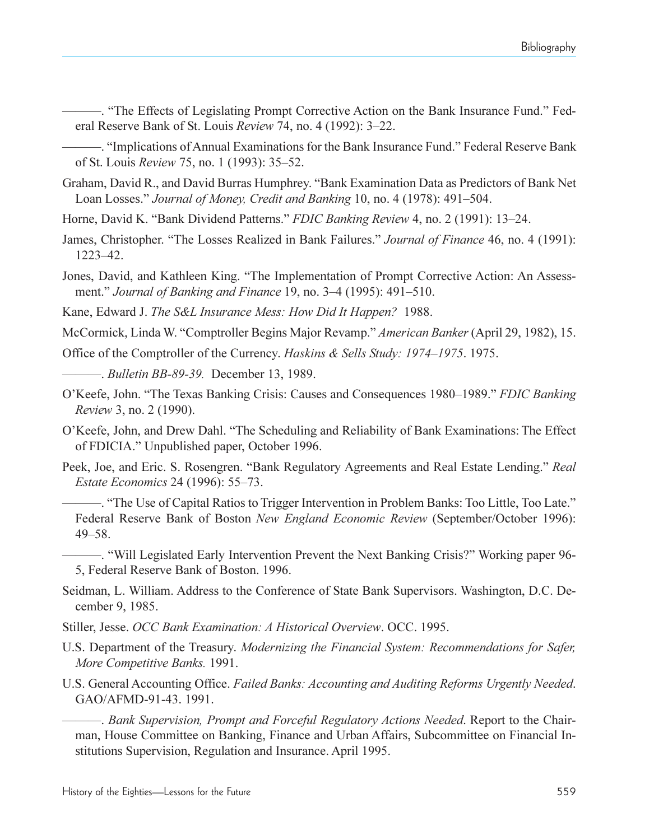-. "The Effects of Legislating Prompt Corrective Action on the Bank Insurance Fund." Federal Reserve Bank of St. Louis *Review* 74, no. 4 (1992): 3–22.

-. "Implications of Annual Examinations for the Bank Insurance Fund." Federal Reserve Bank of St. Louis *Review* 75, no. 1 (1993): 35–52.

- Graham, David R., and David Burras Humphrey. "Bank Examination Data as Predictors of Bank Net Loan Losses." *Journal of Money, Credit and Banking* 10, no. 4 (1978): 491–504.
- Horne, David K. "Bank Dividend Patterns." *FDIC Banking Review* 4, no. 2 (1991): 13–24.
- James, Christopher. "The Losses Realized in Bank Failures." *Journal of Finance* 46, no. 4 (1991): 122342.
- Jones, David, and Kathleen King. "The Implementation of Prompt Corrective Action: An Assessment." *Journal of Banking and Finance* 19, no. 3–4 (1995): 491–510.
- Kane, Edward J. *The S&L Insurance Mess: How Did It Happen?* 1988.
- McCormick, Linda W. Comptroller Begins Major Revamp. *American Banker*(April 29, 1982), 15.

Office of the Comptroller of the Currency. *Haskins & Sells Study: 1974-1975*. 1975.

. *Bulletin BB-89-39.* December 13, 1989.

- O'Keefe, John. "The Texas Banking Crisis: Causes and Consequences 1980–1989." *FDIC Banking Review* 3, no. 2 (1990).
- O'Keefe, John, and Drew Dahl. "The Scheduling and Reliability of Bank Examinations: The Effect of FDICIA." Unpublished paper, October 1996.
- Peek, Joe, and Eric. S. Rosengren. "Bank Regulatory Agreements and Real Estate Lending." *Real Estate Economics* 24 (1996): 55–73.

. The Use of Capital Ratios to Trigger Intervention in Problem Banks: Too Little, Too Late. Federal Reserve Bank of Boston *New England Economic Review* (September/October 1996):  $49 - 58$ .

. Will Legislated Early Intervention Prevent the Next Banking Crisis? Working paper 96- 5, Federal Reserve Bank of Boston. 1996.

- Seidman, L. William. Address to the Conference of State Bank Supervisors. Washington, D.C. December 9, 1985.
- Stiller, Jesse. *OCC Bank Examination: A Historical Overview*. OCC. 1995.
- U.S. Department of the Treasury. *Modernizing the Financial System: Recommendations for Safer, More Competitive Banks.* 1991.
- U.S. General Accounting Office. *Failed Banks: Accounting and Auditing Reforms Urgently Needed*. GAO/AFMD-91-43. 1991.

. *Bank Supervision, Prompt and Forceful Regulatory Actions Needed*. Report to the Chairman, House Committee on Banking, Finance and Urban Affairs, Subcommittee on Financial Institutions Supervision, Regulation and Insurance. April 1995.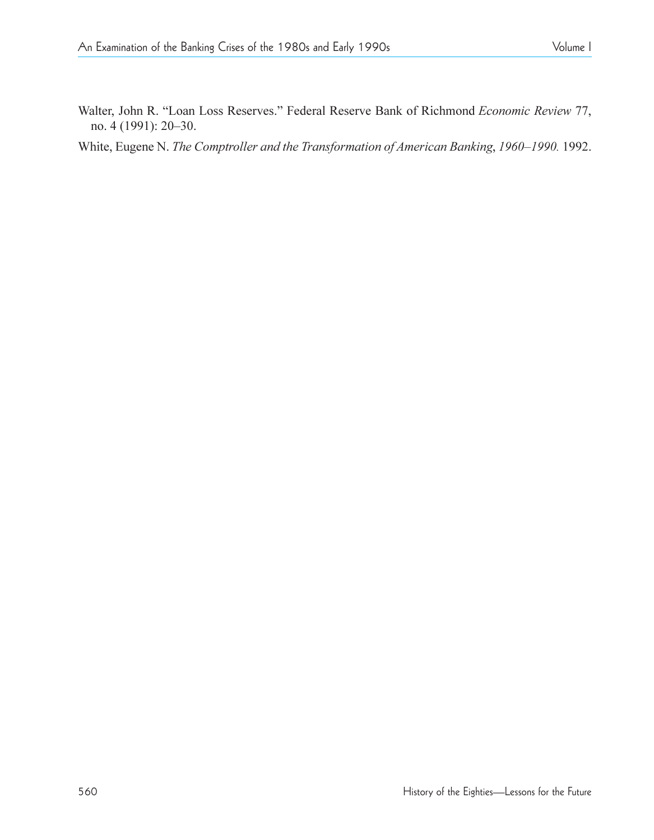Walter, John R. "Loan Loss Reserves." Federal Reserve Bank of Richmond *Economic Review* 77, no. 4 (1991): 20-30.

White, Eugene N. *The Comptroller and the Transformation of American Banking*, 1960-1990. 1992.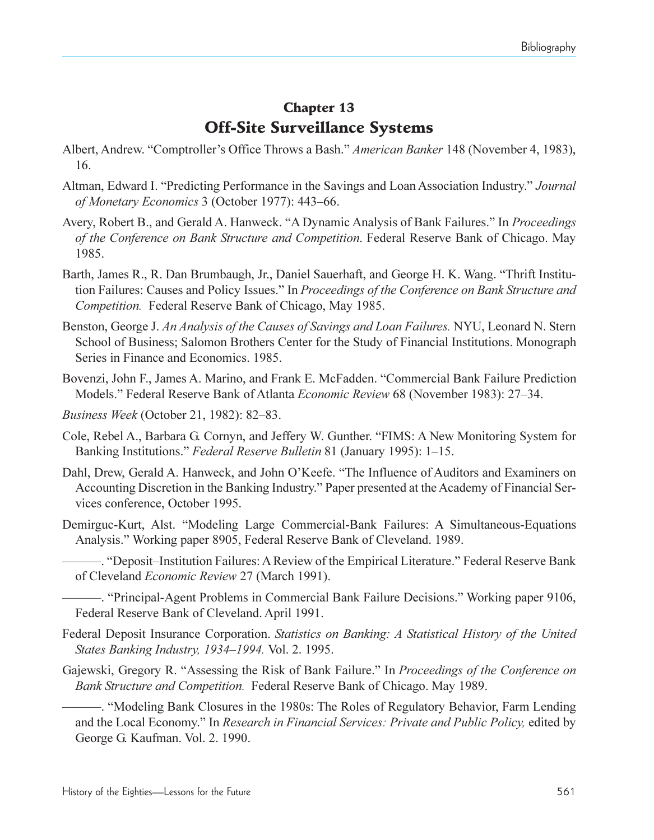## Chapter 13 Off-Site Surveillance Systems

- Albert, Andrew. "Comptroller's Office Throws a Bash." *American Banker* 148 (November 4, 1983), 16.
- Altman, Edward I. "Predicting Performance in the Savings and Loan Association Industry." *Journal of Monetary Economics* 3 (October 1977): 443–66.
- Avery, Robert B., and Gerald A. Hanweck. "A Dynamic Analysis of Bank Failures." In *Proceedings of the Conference on Bank Structure and Competition*. Federal Reserve Bank of Chicago. May 1985.
- Barth, James R., R. Dan Brumbaugh, Jr., Daniel Sauerhaft, and George H. K. Wang. "Thrift Institution Failures: Causes and Policy Issues. In *Proceedings of the Conference on Bank Structure and Competition.* Federal Reserve Bank of Chicago, May 1985.
- Benston, George J. *An Analysis of the Causes of Savings and Loan Failures.* NYU, Leonard N. Stern School of Business; Salomon Brothers Center for the Study of Financial Institutions. Monograph Series in Finance and Economics. 1985.
- Bovenzi, John F., James A. Marino, and Frank E. McFadden. "Commercial Bank Failure Prediction Models." Federal Reserve Bank of Atlanta *Economic Review* 68 (November 1983): 27-34.
- *Business Week* (October 21, 1982): 82-83.
- Cole, Rebel A., Barbara G. Cornyn, and Jeffery W. Gunther. FIMS: A New Monitoring System for Banking Institutions." *Federal Reserve Bulletin* 81 (January 1995): 1–15.
- Dahl, Drew, Gerald A. Hanweck, and John O'Keefe. "The Influence of Auditors and Examiners on Accounting Discretion in the Banking Industry." Paper presented at the Academy of Financial Services conference, October 1995.
- Demirguc-Kurt, Alst. Modeling Large Commercial-Bank Failures: A Simultaneous-Equations Analysis." Working paper 8905, Federal Reserve Bank of Cleveland. 1989.
	- -. "Deposit-Institution Failures: A Review of the Empirical Literature." Federal Reserve Bank of Cleveland *Economic Review* 27 (March 1991).

-. "Principal-Agent Problems in Commercial Bank Failure Decisions." Working paper 9106, Federal Reserve Bank of Cleveland. April 1991.

- Federal Deposit Insurance Corporation. *Statistics on Banking: A Statistical History of the United States Banking Industry, 1934–1994.* Vol. 2. 1995.
- Gajewski, Gregory R. "Assessing the Risk of Bank Failure." In *Proceedings of the Conference on Bank Structure and Competition.* Federal Reserve Bank of Chicago. May 1989.
	- . Modeling Bank Closures in the 1980s: The Roles of Regulatory Behavior, Farm Lending and the Local Economy. In *Research in Financial Services: Private and Public Policy,* edited by George G. Kaufman. Vol. 2. 1990.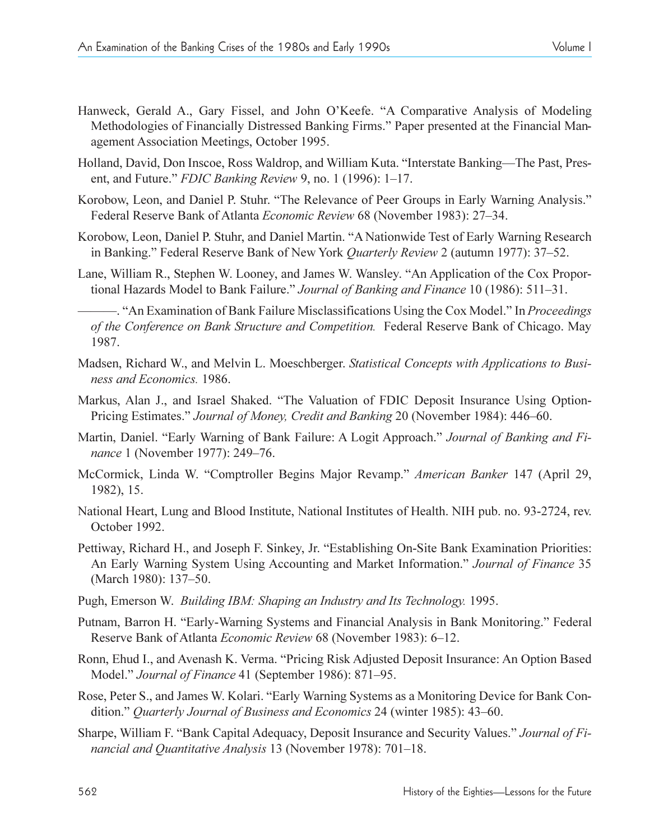agement Association Meetings, October 1995.

- Holland, David, Don Inscoe, Ross Waldrop, and William Kuta. "Interstate Banking—The Past, Present, and Future." *FDIC Banking Review* 9, no. 1 (1996): 1–17.
- Korobow, Leon, and Daniel P. Stuhr. "The Relevance of Peer Groups in Early Warning Analysis." Federal Reserve Bank of Atlanta *Economic Review* 68 (November 1983): 27–34.
- Korobow, Leon, Daniel P. Stuhr, and Daniel Martin. "A Nationwide Test of Early Warning Research in Banking." Federal Reserve Bank of New York *Quarterly Review* 2 (autumn 1977): 37–52.
- Lane, William R., Stephen W. Looney, and James W. Wansley. "An Application of the Cox Proportional Hazards Model to Bank Failure." *Journal of Banking and Finance* 10 (1986): 511–31.

- "An Examination of Bank Failure Misclassifications Using the Cox Model." In *Proceedings of the Conference on Bank Structure and Competition.* Federal Reserve Bank of Chicago. May 1987.

- Madsen, Richard W., and Melvin L. Moeschberger. *Statistical Concepts with Applications to Business and Economics.* 1986.
- Markus, Alan J., and Israel Shaked. "The Valuation of FDIC Deposit Insurance Using Option-Pricing Estimates." Journal of Money, Credit and Banking 20 (November 1984): 446–60.
- Martin, Daniel. "Early Warning of Bank Failure: A Logit Approach." *Journal of Banking and Finance* 1 (November 1977): 249-76.
- McCormick, Linda W. Comptroller Begins Major Revamp. *American Banker* 147 (April 29, 1982), 15.
- National Heart, Lung and Blood Institute, National Institutes of Health. NIH pub. no. 93-2724, rev. October 1992.
- Pettiway, Richard H., and Joseph F. Sinkey, Jr. "Establishing On-Site Bank Examination Priorities: An Early Warning System Using Accounting and Market Information. *Journal of Finance* 35 (March 1980): 137–50.
- Pugh, Emerson W. *Building IBM: Shaping an Industry and Its Technology.* 1995.
- Putnam, Barron H. "Early-Warning Systems and Financial Analysis in Bank Monitoring." Federal Reserve Bank of Atlanta *Economic Review* 68 (November 1983): 6–12.
- Ronn, Ehud I., and Avenash K. Verma. "Pricing Risk Adjusted Deposit Insurance: An Option Based Model." *Journal of Finance* 41 (September 1986): 871–95.
- Rose, Peter S., and James W. Kolari. "Early Warning Systems as a Monitoring Device for Bank Condition." *Quarterly Journal of Business and Economics* 24 (winter 1985): 43–60.
- Sharpe, William F. "Bank Capital Adequacy, Deposit Insurance and Security Values." *Journal of Financial and Quantitative Analysis* 13 (November 1978): 701–18.